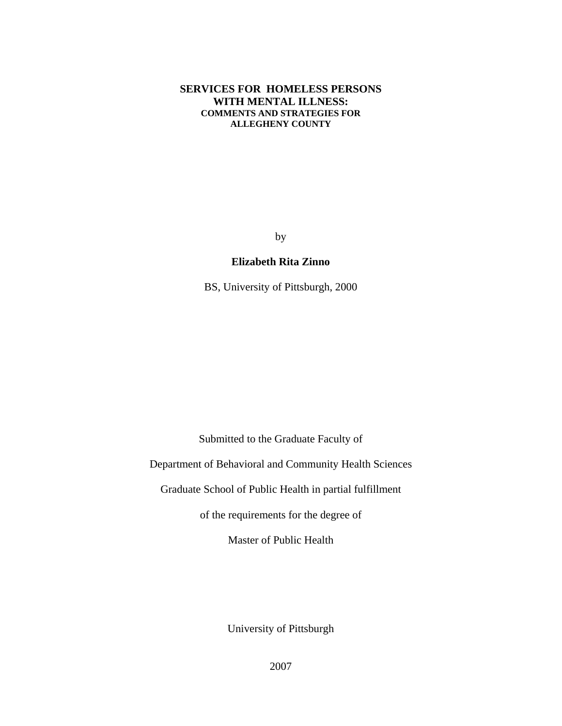## **SERVICES FOR HOMELESS PERSONS WITH MENTAL ILLNESS: COMMENTS AND STRATEGIES FOR ALLEGHENY COUNTY**

by

## **Elizabeth Rita Zinno**

BS, University of Pittsburgh, 2000

Submitted to the Graduate Faculty of

Department of Behavioral and Community Health Sciences

Graduate School of Public Health in partial fulfillment

of the requirements for the degree of

Master of Public Health

University of Pittsburgh

2007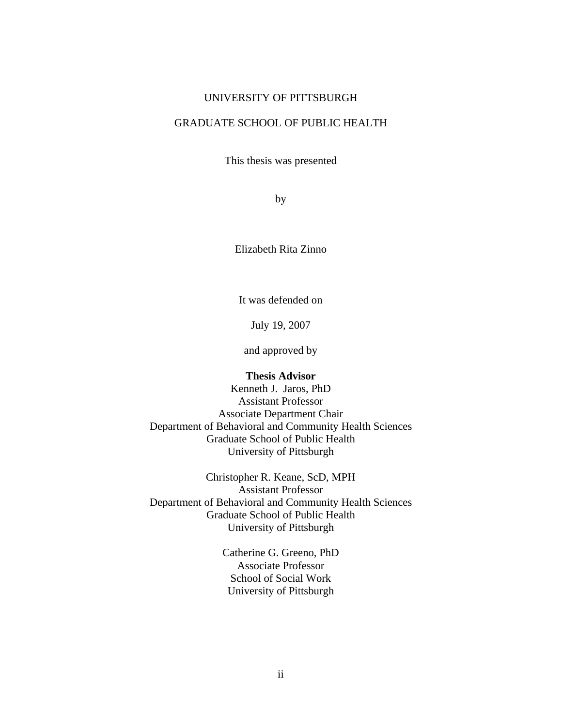#### UNIVERSITY OF PITTSBURGH

## GRADUATE SCHOOL OF PUBLIC HEALTH

This thesis was presented

by

Elizabeth Rita Zinno

It was defended on

July 19, 2007

and approved by

#### **Thesis Advisor**

Kenneth J. Jaros, PhD Assistant Professor Associate Department Chair Department of Behavioral and Community Health Sciences Graduate School of Public Health University of Pittsburgh

Christopher R. Keane, ScD, MPH Assistant Professor Department of Behavioral and Community Health Sciences Graduate School of Public Health University of Pittsburgh

> Catherine G. Greeno, PhD Associate Professor School of Social Work University of Pittsburgh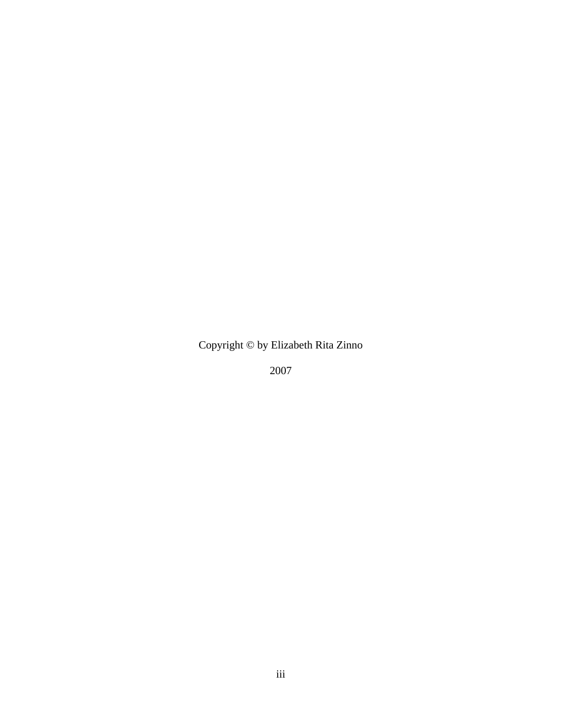Copyright © by Elizabeth Rita Zinno

2007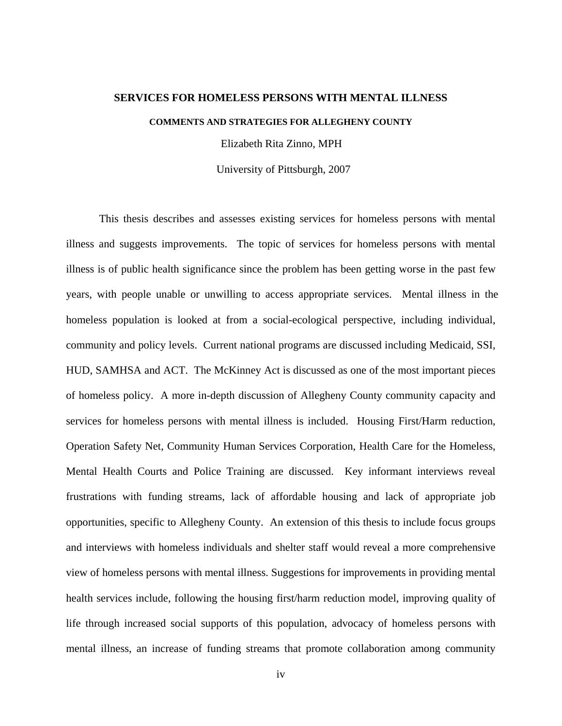#### **SERVICES FOR HOMELESS PERSONS WITH MENTAL ILLNESS**

**COMMENTS AND STRATEGIES FOR ALLEGHENY COUNTY** 

Elizabeth Rita Zinno, MPH

University of Pittsburgh, 2007

This thesis describes and assesses existing services for homeless persons with mental illness and suggests improvements. The topic of services for homeless persons with mental illness is of public health significance since the problem has been getting worse in the past few years, with people unable or unwilling to access appropriate services. Mental illness in the homeless population is looked at from a social-ecological perspective, including individual, community and policy levels. Current national programs are discussed including Medicaid, SSI, HUD, SAMHSA and ACT. The McKinney Act is discussed as one of the most important pieces of homeless policy. A more in-depth discussion of Allegheny County community capacity and services for homeless persons with mental illness is included. Housing First/Harm reduction, Operation Safety Net, Community Human Services Corporation, Health Care for the Homeless, Mental Health Courts and Police Training are discussed. Key informant interviews reveal frustrations with funding streams, lack of affordable housing and lack of appropriate job opportunities, specific to Allegheny County. An extension of this thesis to include focus groups and interviews with homeless individuals and shelter staff would reveal a more comprehensive view of homeless persons with mental illness. Suggestions for improvements in providing mental health services include, following the housing first/harm reduction model, improving quality of life through increased social supports of this population, advocacy of homeless persons with mental illness, an increase of funding streams that promote collaboration among community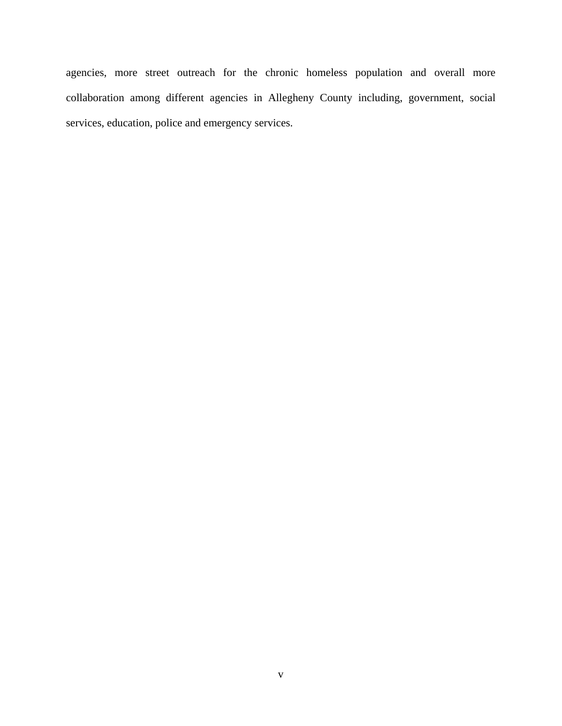agencies, more street outreach for the chronic homeless population and overall more collaboration among different agencies in Allegheny County including, government, social services, education, police and emergency services.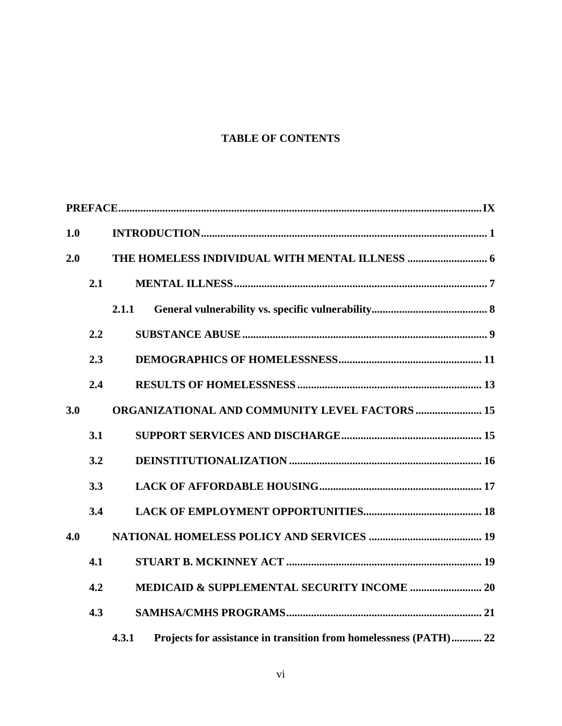# **TABLE OF CONTENTS**

| 1.0 |     |                                                                            |
|-----|-----|----------------------------------------------------------------------------|
| 2.0 |     |                                                                            |
|     | 2.1 |                                                                            |
|     |     | 2.1.1                                                                      |
|     | 2.2 |                                                                            |
|     | 2.3 |                                                                            |
|     | 2.4 |                                                                            |
| 3.0 |     | <b>ORGANIZATIONAL AND COMMUNITY LEVEL FACTORS  15</b>                      |
|     | 3.1 |                                                                            |
|     | 3.2 |                                                                            |
|     | 3.3 |                                                                            |
|     | 3.4 |                                                                            |
| 4.0 |     |                                                                            |
|     | 4.1 |                                                                            |
|     | 4.2 |                                                                            |
|     | 4.3 |                                                                            |
|     |     | Projects for assistance in transition from homelessness (PATH) 22<br>4.3.1 |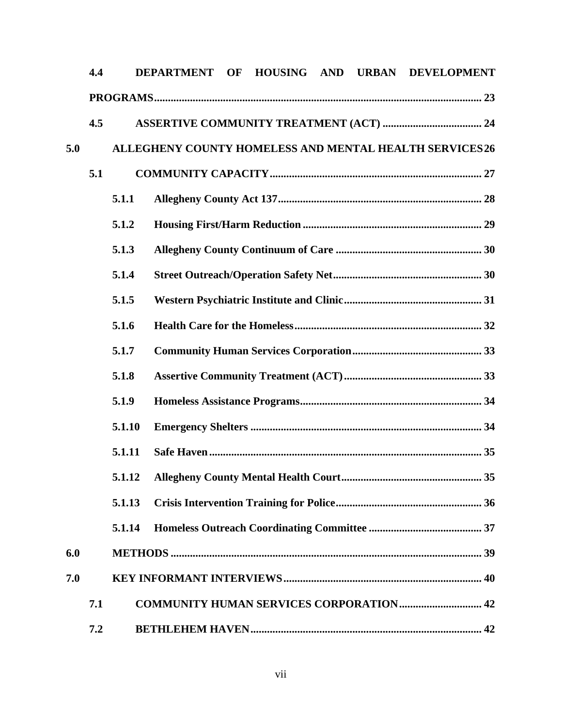|     | 4.4 |                                                         | DEPARTMENT OF |  |  |  |  | HOUSING AND URBAN DEVELOPMENT |  |  |  |  |
|-----|-----|---------------------------------------------------------|---------------|--|--|--|--|-------------------------------|--|--|--|--|
|     |     |                                                         |               |  |  |  |  |                               |  |  |  |  |
|     | 4.5 |                                                         |               |  |  |  |  |                               |  |  |  |  |
| 5.0 |     | ALLEGHENY COUNTY HOMELESS AND MENTAL HEALTH SERVICES 26 |               |  |  |  |  |                               |  |  |  |  |
|     | 5.1 |                                                         |               |  |  |  |  |                               |  |  |  |  |
|     |     | 5.1.1                                                   |               |  |  |  |  |                               |  |  |  |  |
|     |     | 5.1.2                                                   |               |  |  |  |  |                               |  |  |  |  |
|     |     | 5.1.3                                                   |               |  |  |  |  |                               |  |  |  |  |
|     |     | 5.1.4                                                   |               |  |  |  |  |                               |  |  |  |  |
|     |     | 5.1.5                                                   |               |  |  |  |  |                               |  |  |  |  |
|     |     | 5.1.6                                                   |               |  |  |  |  |                               |  |  |  |  |
|     |     | 5.1.7                                                   |               |  |  |  |  |                               |  |  |  |  |
|     |     | 5.1.8                                                   |               |  |  |  |  |                               |  |  |  |  |
|     |     | 5.1.9                                                   |               |  |  |  |  |                               |  |  |  |  |
|     |     | 5.1.10                                                  |               |  |  |  |  |                               |  |  |  |  |
|     |     | 5.1.11                                                  |               |  |  |  |  |                               |  |  |  |  |
|     |     |                                                         |               |  |  |  |  |                               |  |  |  |  |
|     |     | 5.1.13                                                  |               |  |  |  |  |                               |  |  |  |  |
|     |     | 5.1.14                                                  |               |  |  |  |  |                               |  |  |  |  |
| 6.0 |     |                                                         |               |  |  |  |  |                               |  |  |  |  |
| 7.0 |     |                                                         |               |  |  |  |  |                               |  |  |  |  |
|     | 7.1 | <b>COMMUNITY HUMAN SERVICES CORPORATION 42</b>          |               |  |  |  |  |                               |  |  |  |  |
|     | 7.2 |                                                         |               |  |  |  |  |                               |  |  |  |  |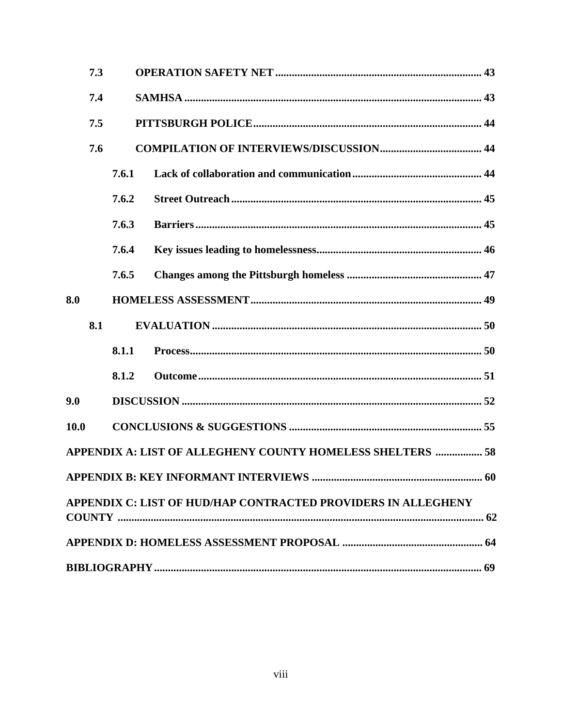| 7.3         |       |                                                               |  |  |  |  |  |
|-------------|-------|---------------------------------------------------------------|--|--|--|--|--|
| 7.4         |       |                                                               |  |  |  |  |  |
| 7.5         |       |                                                               |  |  |  |  |  |
| 7.6         |       |                                                               |  |  |  |  |  |
|             | 7.6.1 |                                                               |  |  |  |  |  |
|             | 7.6.2 |                                                               |  |  |  |  |  |
|             | 7.6.3 |                                                               |  |  |  |  |  |
|             | 7.6.4 |                                                               |  |  |  |  |  |
|             | 7.6.5 |                                                               |  |  |  |  |  |
| 8.0         |       |                                                               |  |  |  |  |  |
| 8.1         |       |                                                               |  |  |  |  |  |
|             | 8.1.1 |                                                               |  |  |  |  |  |
|             | 8.1.2 |                                                               |  |  |  |  |  |
| 9.0         |       |                                                               |  |  |  |  |  |
| <b>10.0</b> |       |                                                               |  |  |  |  |  |
|             |       | APPENDIX A: LIST OF ALLEGHENY COUNTY HOMELESS SHELTERS  58    |  |  |  |  |  |
|             |       |                                                               |  |  |  |  |  |
|             |       | APPENDIX C: LIST OF HUD/HAP CONTRACTED PROVIDERS IN ALLEGHENY |  |  |  |  |  |
|             |       |                                                               |  |  |  |  |  |
|             |       |                                                               |  |  |  |  |  |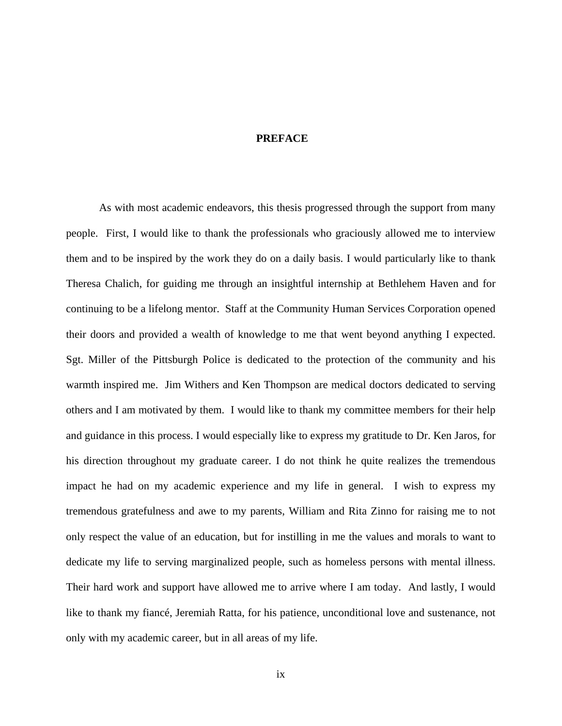## **PREFACE**

<span id="page-8-0"></span>As with most academic endeavors, this thesis progressed through the support from many people. First, I would like to thank the professionals who graciously allowed me to interview them and to be inspired by the work they do on a daily basis. I would particularly like to thank Theresa Chalich, for guiding me through an insightful internship at Bethlehem Haven and for continuing to be a lifelong mentor. Staff at the Community Human Services Corporation opened their doors and provided a wealth of knowledge to me that went beyond anything I expected. Sgt. Miller of the Pittsburgh Police is dedicated to the protection of the community and his warmth inspired me. Jim Withers and Ken Thompson are medical doctors dedicated to serving others and I am motivated by them. I would like to thank my committee members for their help and guidance in this process. I would especially like to express my gratitude to Dr. Ken Jaros, for his direction throughout my graduate career. I do not think he quite realizes the tremendous impact he had on my academic experience and my life in general. I wish to express my tremendous gratefulness and awe to my parents, William and Rita Zinno for raising me to not only respect the value of an education, but for instilling in me the values and morals to want to dedicate my life to serving marginalized people, such as homeless persons with mental illness. Their hard work and support have allowed me to arrive where I am today. And lastly, I would like to thank my fiancé, Jeremiah Ratta, for his patience, unconditional love and sustenance, not only with my academic career, but in all areas of my life.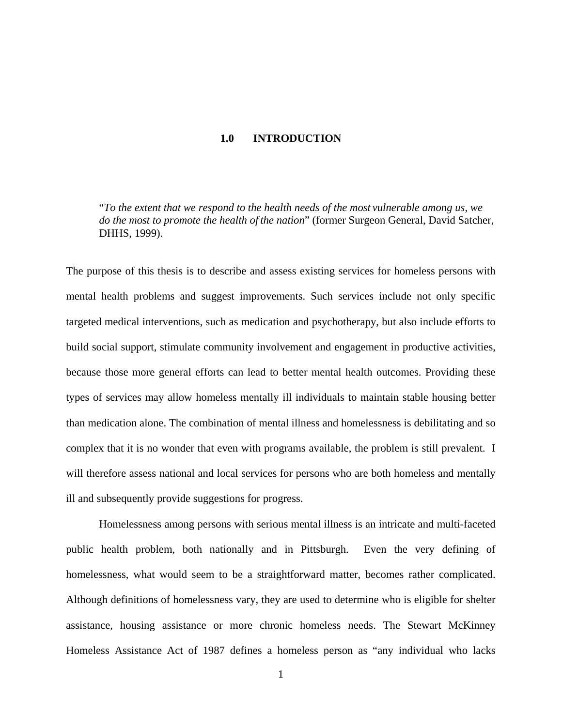## **1.0 INTRODUCTION**

<span id="page-9-0"></span>"*To the extent that we respond to the health needs of the most vulnerable among us, we do the most to promote the health of the nation*" (former Surgeon General, David Satcher, DHHS, 1999).

The purpose of this thesis is to describe and assess existing services for homeless persons with mental health problems and suggest improvements. Such services include not only specific targeted medical interventions, such as medication and psychotherapy, but also include efforts to build social support, stimulate community involvement and engagement in productive activities, because those more general efforts can lead to better mental health outcomes. Providing these types of services may allow homeless mentally ill individuals to maintain stable housing better than medication alone. The combination of mental illness and homelessness is debilitating and so complex that it is no wonder that even with programs available, the problem is still prevalent. I will therefore assess national and local services for persons who are both homeless and mentally ill and subsequently provide suggestions for progress.

Homelessness among persons with serious mental illness is an intricate and multi-faceted public health problem, both nationally and in Pittsburgh. Even the very defining of homelessness, what would seem to be a straightforward matter, becomes rather complicated. Although definitions of homelessness vary, they are used to determine who is eligible for shelter assistance, housing assistance or more chronic homeless needs. The Stewart McKinney Homeless Assistance Act of 1987 defines a homeless person as "any individual who lacks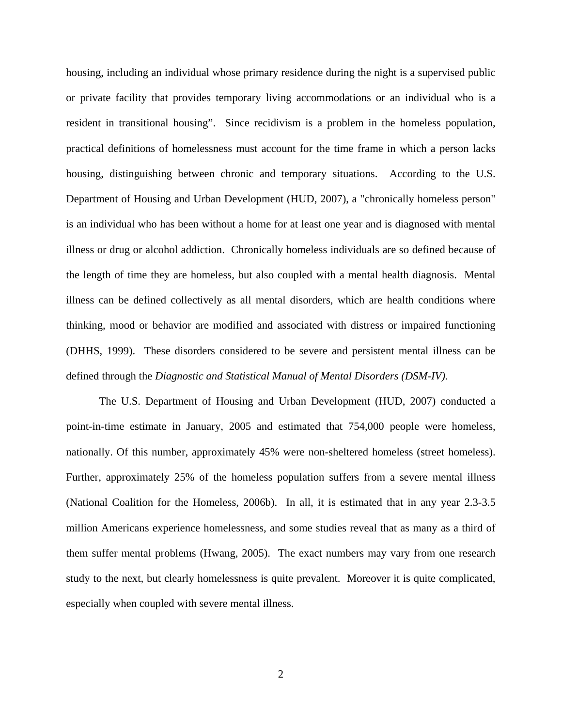housing, including an individual whose primary residence during the night is a supervised public or private facility that provides temporary living accommodations or an individual who is a resident in transitional housing". Since recidivism is a problem in the homeless population, practical definitions of homelessness must account for the time frame in which a person lacks housing, distinguishing between chronic and temporary situations. According to the U.S. Department of Housing and Urban Development (HUD, 2007), a "chronically homeless person" is an individual who has been without a home for at least one year and is diagnosed with mental illness or drug or alcohol addiction. Chronically homeless individuals are so defined because of the length of time they are homeless, but also coupled with a mental health diagnosis. Mental illness can be defined collectively as all mental disorders, which are health conditions where thinking, mood or behavior are modified and associated with distress or impaired functioning (DHHS, 1999). These disorders considered to be severe and persistent mental illness can be defined through the *Diagnostic and Statistical Manual of Mental Disorders (DSM-IV).* 

The U.S. Department of Housing and Urban Development (HUD, 2007) conducted a point-in-time estimate in January, 2005 and estimated that 754,000 people were homeless, nationally. Of this number, approximately 45% were non-sheltered homeless (street homeless). Further, approximately 25% of the homeless population suffers from a severe mental illness (National Coalition for the Homeless, 2006b). In all, it is estimated that in any year 2.3-3.5 million Americans experience homelessness, and some studies reveal that as many as a third of them suffer mental problems (Hwang, 2005). The exact numbers may vary from one research study to the next, but clearly homelessness is quite prevalent. Moreover it is quite complicated, especially when coupled with severe mental illness.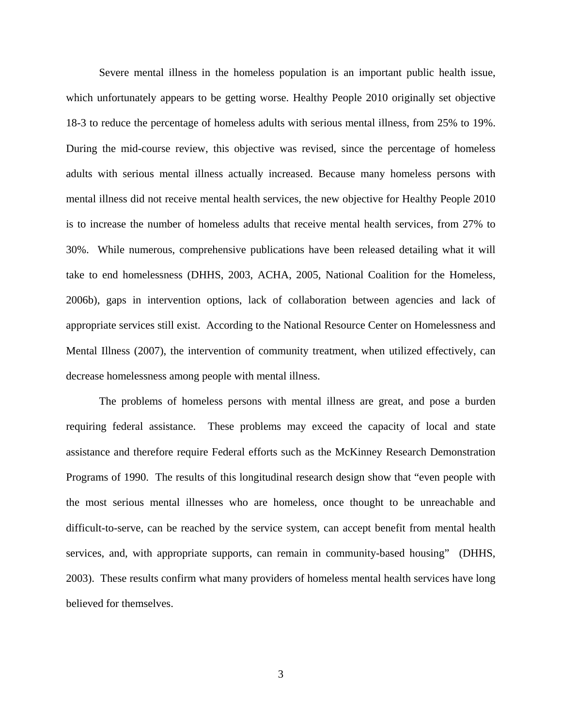Severe mental illness in the homeless population is an important public health issue, which unfortunately appears to be getting worse. Healthy People 2010 originally set objective 18-3 to reduce the percentage of homeless adults with serious mental illness, from 25% to 19%. During the mid-course review, this objective was revised, since the percentage of homeless adults with serious mental illness actually increased. Because many homeless persons with mental illness did not receive mental health services, the new objective for Healthy People 2010 is to increase the number of homeless adults that receive mental health services, from 27% to 30%. While numerous, comprehensive publications have been released detailing what it will take to end homelessness (DHHS, 2003, ACHA, 2005, National Coalition for the Homeless, 2006b), gaps in intervention options, lack of collaboration between agencies and lack of appropriate services still exist. According to the National Resource Center on Homelessness and Mental Illness (2007), the intervention of community treatment, when utilized effectively, can decrease homelessness among people with mental illness.

The problems of homeless persons with mental illness are great, and pose a burden requiring federal assistance. These problems may exceed the capacity of local and state assistance and therefore require Federal efforts such as the McKinney Research Demonstration Programs of 1990. The results of this longitudinal research design show that "even people with the most serious mental illnesses who are homeless, once thought to be unreachable and difficult-to-serve, can be reached by the service system, can accept benefit from mental health services, and, with appropriate supports, can remain in community-based housing" (DHHS, 2003). These results confirm what many providers of homeless mental health services have long believed for themselves.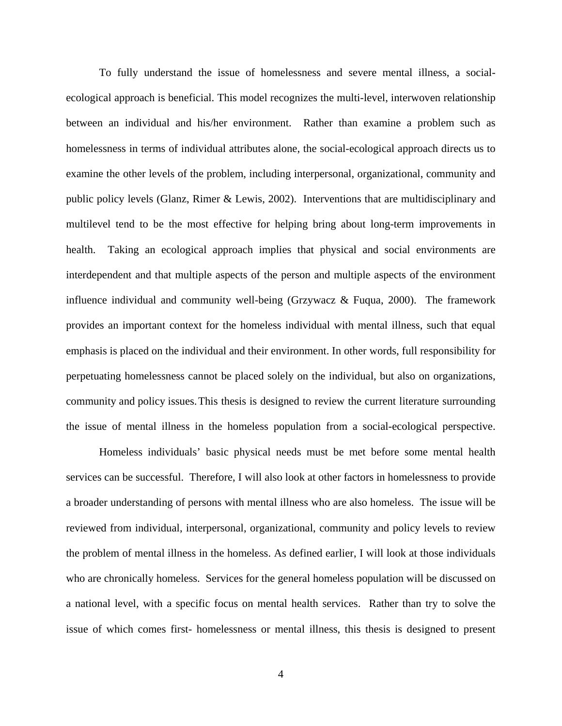To fully understand the issue of homelessness and severe mental illness, a socialecological approach is beneficial. This model recognizes the multi-level, interwoven relationship between an individual and his/her environment. Rather than examine a problem such as homelessness in terms of individual attributes alone, the social-ecological approach directs us to examine the other levels of the problem, including interpersonal, organizational, community and public policy levels (Glanz, Rimer & Lewis, 2002). Interventions that are multidisciplinary and multilevel tend to be the most effective for helping bring about long-term improvements in health. Taking an ecological approach implies that physical and social environments are interdependent and that multiple aspects of the person and multiple aspects of the environment influence individual and community well-being (Grzywacz & Fuqua, 2000). The framework provides an important context for the homeless individual with mental illness, such that equal emphasis is placed on the individual and their environment. In other words, full responsibility for perpetuating homelessness cannot be placed solely on the individual, but also on organizations, community and policy issues. This thesis is designed to review the current literature surrounding the issue of mental illness in the homeless population from a social-ecological perspective.

 Homeless individuals' basic physical needs must be met before some mental health services can be successful. Therefore, I will also look at other factors in homelessness to provide a broader understanding of persons with mental illness who are also homeless. The issue will be reviewed from individual, interpersonal, organizational, community and policy levels to review the problem of mental illness in the homeless. As defined earlier, I will look at those individuals who are chronically homeless. Services for the general homeless population will be discussed on a national level, with a specific focus on mental health services. Rather than try to solve the issue of which comes first- homelessness or mental illness, this thesis is designed to present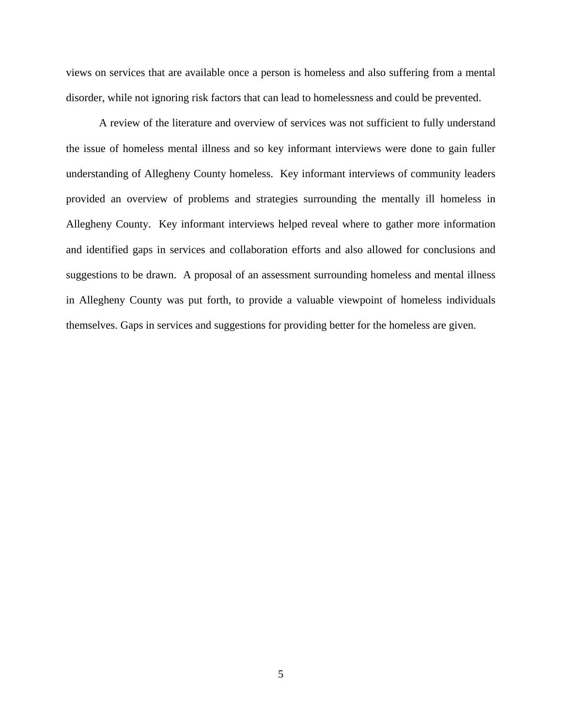views on services that are available once a person is homeless and also suffering from a mental disorder, while not ignoring risk factors that can lead to homelessness and could be prevented.

A review of the literature and overview of services was not sufficient to fully understand the issue of homeless mental illness and so key informant interviews were done to gain fuller understanding of Allegheny County homeless. Key informant interviews of community leaders provided an overview of problems and strategies surrounding the mentally ill homeless in Allegheny County. Key informant interviews helped reveal where to gather more information and identified gaps in services and collaboration efforts and also allowed for conclusions and suggestions to be drawn. A proposal of an assessment surrounding homeless and mental illness in Allegheny County was put forth, to provide a valuable viewpoint of homeless individuals themselves. Gaps in services and suggestions for providing better for the homeless are given.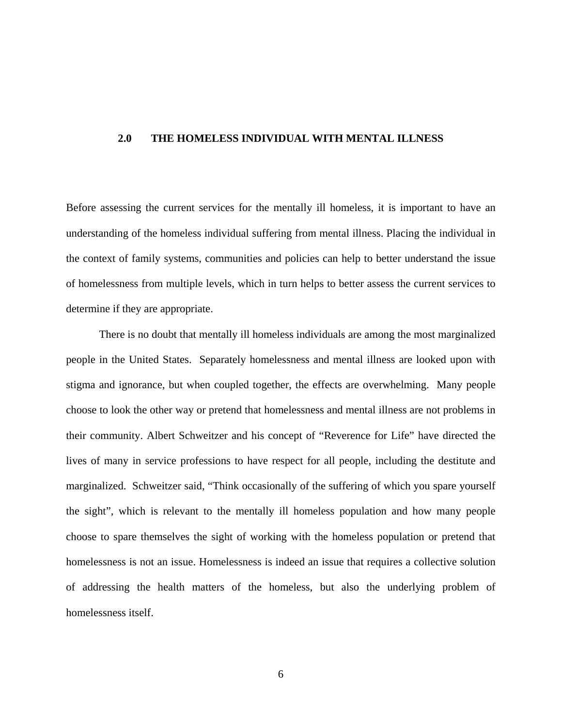#### <span id="page-14-0"></span>**2.0 THE HOMELESS INDIVIDUAL WITH MENTAL ILLNESS**

Before assessing the current services for the mentally ill homeless, it is important to have an understanding of the homeless individual suffering from mental illness. Placing the individual in the context of family systems, communities and policies can help to better understand the issue of homelessness from multiple levels, which in turn helps to better assess the current services to determine if they are appropriate.

There is no doubt that mentally ill homeless individuals are among the most marginalized people in the United States. Separately homelessness and mental illness are looked upon with stigma and ignorance, but when coupled together, the effects are overwhelming. Many people choose to look the other way or pretend that homelessness and mental illness are not problems in their community. Albert Schweitzer and his concept of "Reverence for Life" have directed the lives of many in service professions to have respect for all people, including the destitute and marginalized. Schweitzer said, "Think occasionally of the suffering of which you spare yourself the sight", which is relevant to the mentally ill homeless population and how many people choose to spare themselves the sight of working with the homeless population or pretend that homelessness is not an issue. Homelessness is indeed an issue that requires a collective solution of addressing the health matters of the homeless, but also the underlying problem of homelessness itself.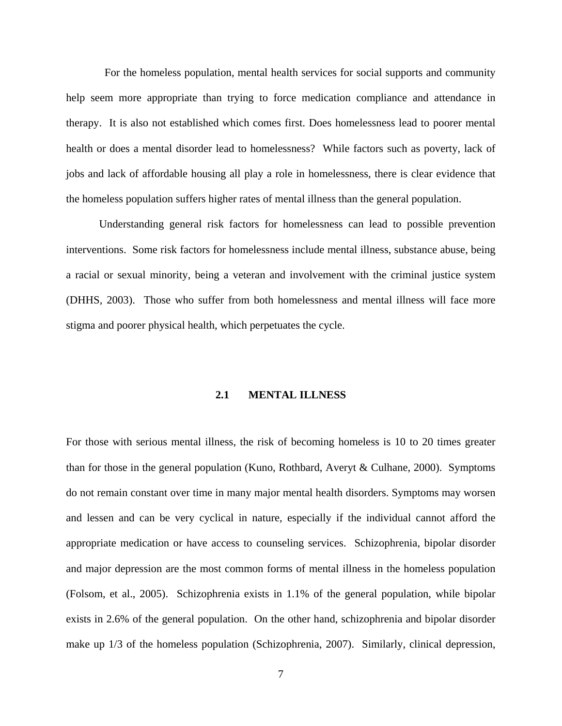<span id="page-15-0"></span> For the homeless population, mental health services for social supports and community help seem more appropriate than trying to force medication compliance and attendance in therapy. It is also not established which comes first. Does homelessness lead to poorer mental health or does a mental disorder lead to homelessness? While factors such as poverty, lack of jobs and lack of affordable housing all play a role in homelessness, there is clear evidence that the homeless population suffers higher rates of mental illness than the general population.

Understanding general risk factors for homelessness can lead to possible prevention interventions. Some risk factors for homelessness include mental illness, substance abuse, being a racial or sexual minority, being a veteran and involvement with the criminal justice system (DHHS, 2003). Those who suffer from both homelessness and mental illness will face more stigma and poorer physical health, which perpetuates the cycle.

#### **2.1 MENTAL ILLNESS**

For those with serious mental illness, the risk of becoming homeless is 10 to 20 times greater than for those in the general population (Kuno, Rothbard, Averyt & Culhane, 2000). Symptoms do not remain constant over time in many major mental health disorders. Symptoms may worsen and lessen and can be very cyclical in nature, especially if the individual cannot afford the appropriate medication or have access to counseling services. Schizophrenia, bipolar disorder and major depression are the most common forms of mental illness in the homeless population (Folsom, et al., 2005). Schizophrenia exists in 1.1% of the general population, while bipolar exists in 2.6% of the general population. On the other hand, schizophrenia and bipolar disorder make up 1/3 of the homeless population (Schizophrenia, 2007). Similarly, clinical depression,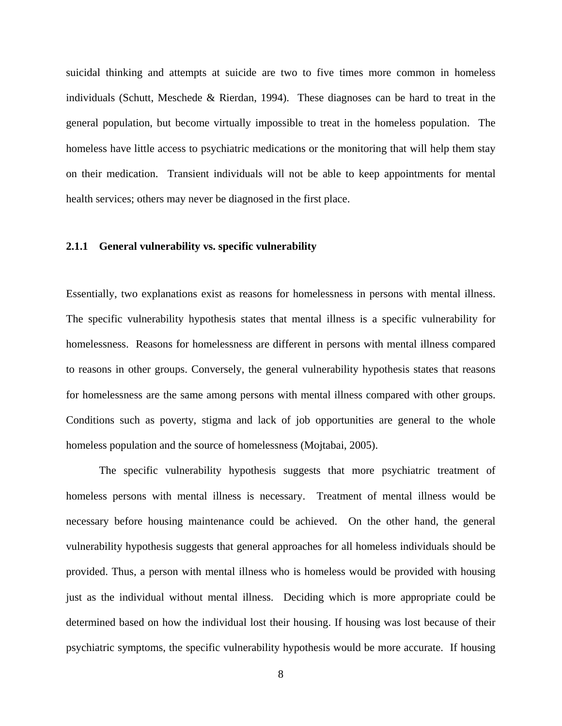<span id="page-16-0"></span>suicidal thinking and attempts at suicide are two to five times more common in homeless individuals (Schutt, Meschede & Rierdan, 1994). These diagnoses can be hard to treat in the general population, but become virtually impossible to treat in the homeless population. The homeless have little access to psychiatric medications or the monitoring that will help them stay on their medication. Transient individuals will not be able to keep appointments for mental health services; others may never be diagnosed in the first place.

## **2.1.1 General vulnerability vs. specific vulnerability**

Essentially, two explanations exist as reasons for homelessness in persons with mental illness. The specific vulnerability hypothesis states that mental illness is a specific vulnerability for homelessness. Reasons for homelessness are different in persons with mental illness compared to reasons in other groups. Conversely, the general vulnerability hypothesis states that reasons for homelessness are the same among persons with mental illness compared with other groups. Conditions such as poverty, stigma and lack of job opportunities are general to the whole homeless population and the source of homelessness (Mojtabai, 2005).

The specific vulnerability hypothesis suggests that more psychiatric treatment of homeless persons with mental illness is necessary. Treatment of mental illness would be necessary before housing maintenance could be achieved. On the other hand, the general vulnerability hypothesis suggests that general approaches for all homeless individuals should be provided. Thus, a person with mental illness who is homeless would be provided with housing just as the individual without mental illness. Deciding which is more appropriate could be determined based on how the individual lost their housing. If housing was lost because of their psychiatric symptoms, the specific vulnerability hypothesis would be more accurate. If housing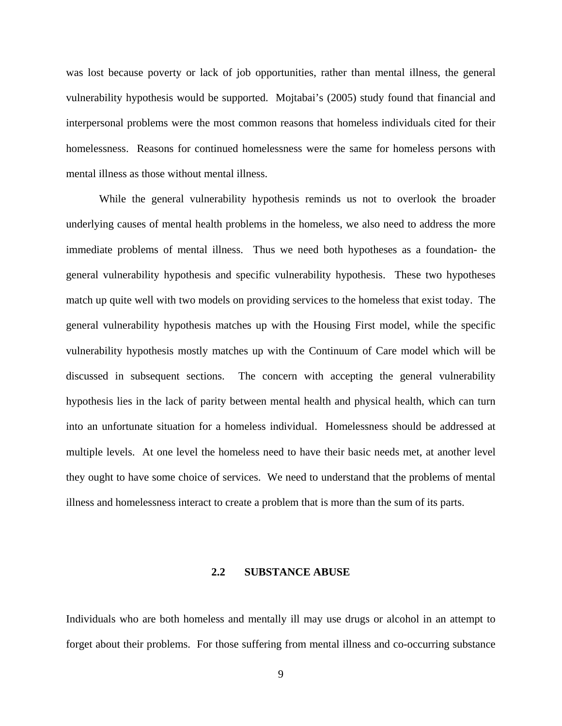<span id="page-17-0"></span>was lost because poverty or lack of job opportunities, rather than mental illness, the general vulnerability hypothesis would be supported. Mojtabai's (2005) study found that financial and interpersonal problems were the most common reasons that homeless individuals cited for their homelessness. Reasons for continued homelessness were the same for homeless persons with mental illness as those without mental illness.

 While the general vulnerability hypothesis reminds us not to overlook the broader underlying causes of mental health problems in the homeless, we also need to address the more immediate problems of mental illness. Thus we need both hypotheses as a foundation- the general vulnerability hypothesis and specific vulnerability hypothesis. These two hypotheses match up quite well with two models on providing services to the homeless that exist today. The general vulnerability hypothesis matches up with the Housing First model, while the specific vulnerability hypothesis mostly matches up with the Continuum of Care model which will be discussed in subsequent sections. The concern with accepting the general vulnerability hypothesis lies in the lack of parity between mental health and physical health, which can turn into an unfortunate situation for a homeless individual. Homelessness should be addressed at multiple levels. At one level the homeless need to have their basic needs met, at another level they ought to have some choice of services. We need to understand that the problems of mental illness and homelessness interact to create a problem that is more than the sum of its parts.

#### **2.2 SUBSTANCE ABUSE**

Individuals who are both homeless and mentally ill may use drugs or alcohol in an attempt to forget about their problems. For those suffering from mental illness and co-occurring substance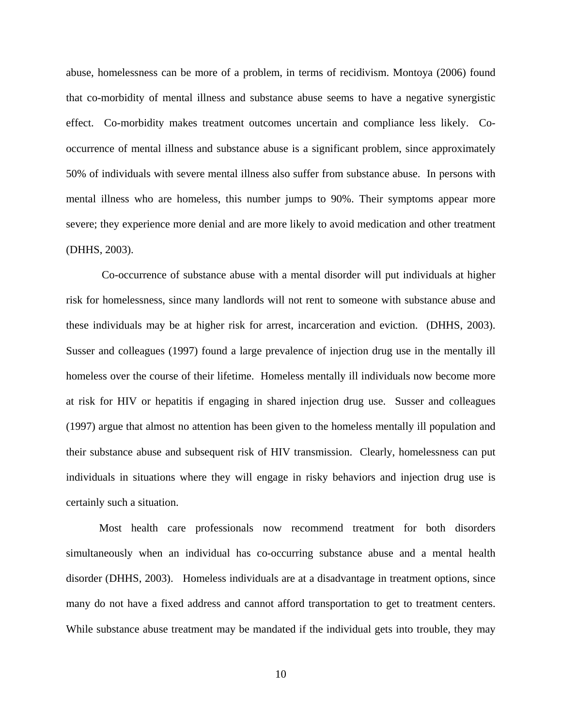abuse, homelessness can be more of a problem, in terms of recidivism. Montoya (2006) found that co-morbidity of mental illness and substance abuse seems to have a negative synergistic effect. Co-morbidity makes treatment outcomes uncertain and compliance less likely. Cooccurrence of mental illness and substance abuse is a significant problem, since approximately 50% of individuals with severe mental illness also suffer from substance abuse. In persons with mental illness who are homeless, this number jumps to 90%. Their symptoms appear more severe; they experience more denial and are more likely to avoid medication and other treatment (DHHS, 2003).

 Co-occurrence of substance abuse with a mental disorder will put individuals at higher risk for homelessness, since many landlords will not rent to someone with substance abuse and these individuals may be at higher risk for arrest, incarceration and eviction. (DHHS, 2003). Susser and colleagues (1997) found a large prevalence of injection drug use in the mentally ill homeless over the course of their lifetime. Homeless mentally ill individuals now become more at risk for HIV or hepatitis if engaging in shared injection drug use. Susser and colleagues (1997) argue that almost no attention has been given to the homeless mentally ill population and their substance abuse and subsequent risk of HIV transmission. Clearly, homelessness can put individuals in situations where they will engage in risky behaviors and injection drug use is certainly such a situation.

Most health care professionals now recommend treatment for both disorders simultaneously when an individual has co-occurring substance abuse and a mental health disorder (DHHS, 2003). Homeless individuals are at a disadvantage in treatment options, since many do not have a fixed address and cannot afford transportation to get to treatment centers. While substance abuse treatment may be mandated if the individual gets into trouble, they may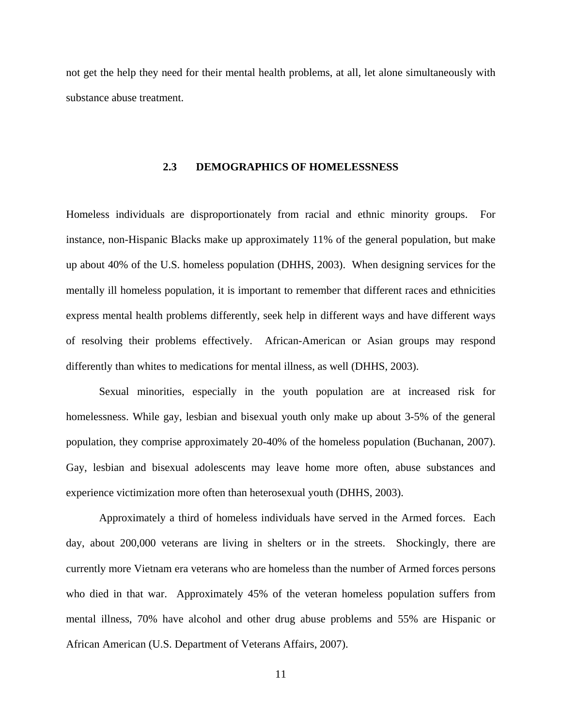<span id="page-19-0"></span>not get the help they need for their mental health problems, at all, let alone simultaneously with substance abuse treatment.

## **2.3 DEMOGRAPHICS OF HOMELESSNESS**

Homeless individuals are disproportionately from racial and ethnic minority groups. For instance, non-Hispanic Blacks make up approximately 11% of the general population, but make up about 40% of the U.S. homeless population (DHHS, 2003). When designing services for the mentally ill homeless population, it is important to remember that different races and ethnicities express mental health problems differently, seek help in different ways and have different ways of resolving their problems effectively. African-American or Asian groups may respond differently than whites to medications for mental illness, as well (DHHS, 2003).

Sexual minorities, especially in the youth population are at increased risk for homelessness. While gay, lesbian and bisexual youth only make up about 3-5% of the general population, they comprise approximately 20-40% of the homeless population (Buchanan, 2007). Gay, lesbian and bisexual adolescents may leave home more often, abuse substances and experience victimization more often than heterosexual youth (DHHS, 2003).

Approximately a third of homeless individuals have served in the Armed forces. Each day, about 200,000 veterans are living in shelters or in the streets. Shockingly, there are currently more Vietnam era veterans who are homeless than the number of Armed forces persons who died in that war. Approximately 45% of the veteran homeless population suffers from mental illness, 70% have alcohol and other drug abuse problems and 55% are Hispanic or African American (U.S. Department of Veterans Affairs, 2007).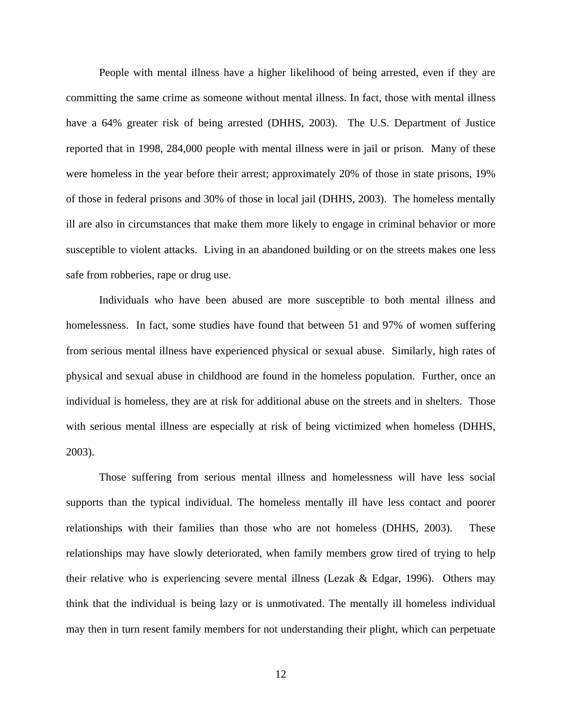People with mental illness have a higher likelihood of being arrested, even if they are committing the same crime as someone without mental illness. In fact, those with mental illness have a 64% greater risk of being arrested (DHHS, 2003). The U.S. Department of Justice reported that in 1998, 284,000 people with mental illness were in jail or prison. Many of these were homeless in the year before their arrest; approximately 20% of those in state prisons, 19% of those in federal prisons and 30% of those in local jail (DHHS, 2003). The homeless mentally ill are also in circumstances that make them more likely to engage in criminal behavior or more susceptible to violent attacks. Living in an abandoned building or on the streets makes one less safe from robberies, rape or drug use.

Individuals who have been abused are more susceptible to both mental illness and homelessness. In fact, some studies have found that between 51 and 97% of women suffering from serious mental illness have experienced physical or sexual abuse. Similarly, high rates of physical and sexual abuse in childhood are found in the homeless population. Further, once an individual is homeless, they are at risk for additional abuse on the streets and in shelters. Those with serious mental illness are especially at risk of being victimized when homeless (DHHS, 2003).

Those suffering from serious mental illness and homelessness will have less social supports than the typical individual. The homeless mentally ill have less contact and poorer relationships with their families than those who are not homeless (DHHS, 2003). These relationships may have slowly deteriorated, when family members grow tired of trying to help their relative who is experiencing severe mental illness (Lezak & Edgar, 1996). Others may think that the individual is being lazy or is unmotivated. The mentally ill homeless individual may then in turn resent family members for not understanding their plight, which can perpetuate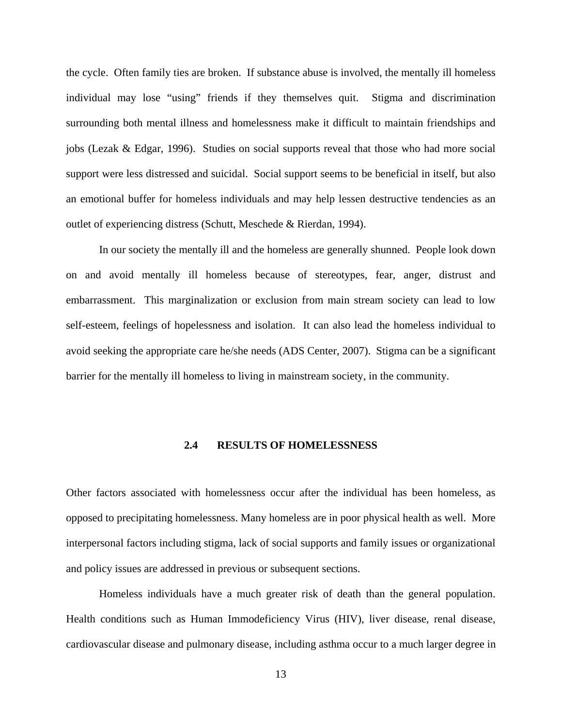<span id="page-21-0"></span>the cycle. Often family ties are broken. If substance abuse is involved, the mentally ill homeless individual may lose "using" friends if they themselves quit. Stigma and discrimination surrounding both mental illness and homelessness make it difficult to maintain friendships and jobs (Lezak & Edgar, 1996). Studies on social supports reveal that those who had more social support were less distressed and suicidal. Social support seems to be beneficial in itself, but also an emotional buffer for homeless individuals and may help lessen destructive tendencies as an outlet of experiencing distress (Schutt, Meschede & Rierdan, 1994).

In our society the mentally ill and the homeless are generally shunned. People look down on and avoid mentally ill homeless because of stereotypes, fear, anger, distrust and embarrassment. This marginalization or exclusion from main stream society can lead to low self-esteem, feelings of hopelessness and isolation. It can also lead the homeless individual to avoid seeking the appropriate care he/she needs (ADS Center, 2007). Stigma can be a significant barrier for the mentally ill homeless to living in mainstream society, in the community.

## **2.4 RESULTS OF HOMELESSNESS**

Other factors associated with homelessness occur after the individual has been homeless, as opposed to precipitating homelessness. Many homeless are in poor physical health as well. More interpersonal factors including stigma, lack of social supports and family issues or organizational and policy issues are addressed in previous or subsequent sections.

Homeless individuals have a much greater risk of death than the general population. Health conditions such as Human Immodeficiency Virus (HIV), liver disease, renal disease, cardiovascular disease and pulmonary disease, including asthma occur to a much larger degree in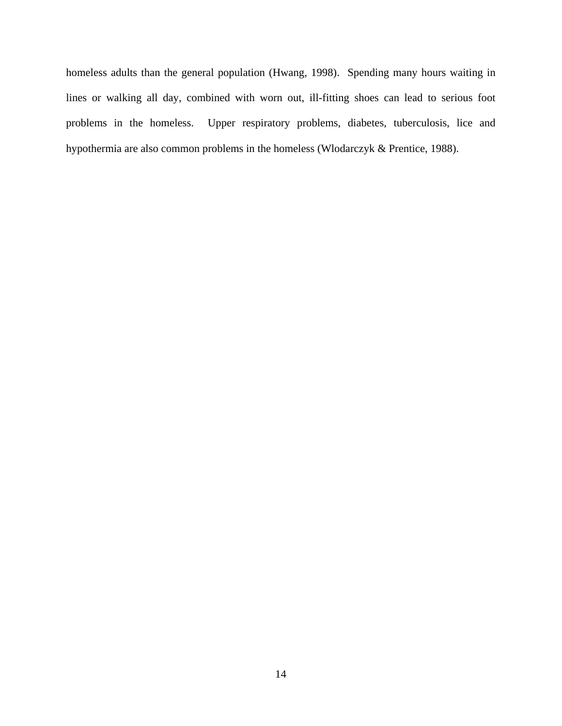homeless adults than the general population (Hwang, 1998). Spending many hours waiting in lines or walking all day, combined with worn out, ill-fitting shoes can lead to serious foot problems in the homeless. Upper respiratory problems, diabetes, tuberculosis, lice and hypothermia are also common problems in the homeless (Wlodarczyk & Prentice, 1988).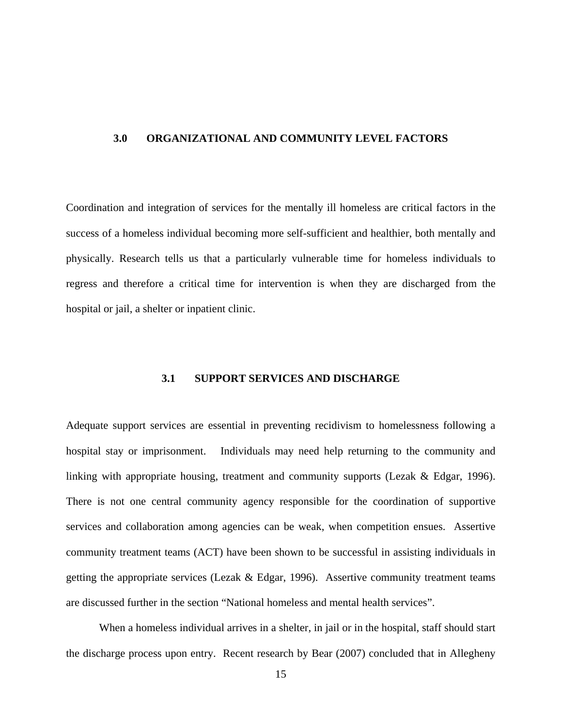#### <span id="page-23-0"></span>**3.0 ORGANIZATIONAL AND COMMUNITY LEVEL FACTORS**

Coordination and integration of services for the mentally ill homeless are critical factors in the success of a homeless individual becoming more self-sufficient and healthier, both mentally and physically. Research tells us that a particularly vulnerable time for homeless individuals to regress and therefore a critical time for intervention is when they are discharged from the hospital or jail, a shelter or inpatient clinic.

## **3.1 SUPPORT SERVICES AND DISCHARGE**

Adequate support services are essential in preventing recidivism to homelessness following a hospital stay or imprisonment. Individuals may need help returning to the community and linking with appropriate housing, treatment and community supports (Lezak & Edgar, 1996). There is not one central community agency responsible for the coordination of supportive services and collaboration among agencies can be weak, when competition ensues. Assertive community treatment teams (ACT) have been shown to be successful in assisting individuals in getting the appropriate services (Lezak & Edgar, 1996). Assertive community treatment teams are discussed further in the section "National homeless and mental health services".

When a homeless individual arrives in a shelter, in jail or in the hospital, staff should start the discharge process upon entry. Recent research by Bear (2007) concluded that in Allegheny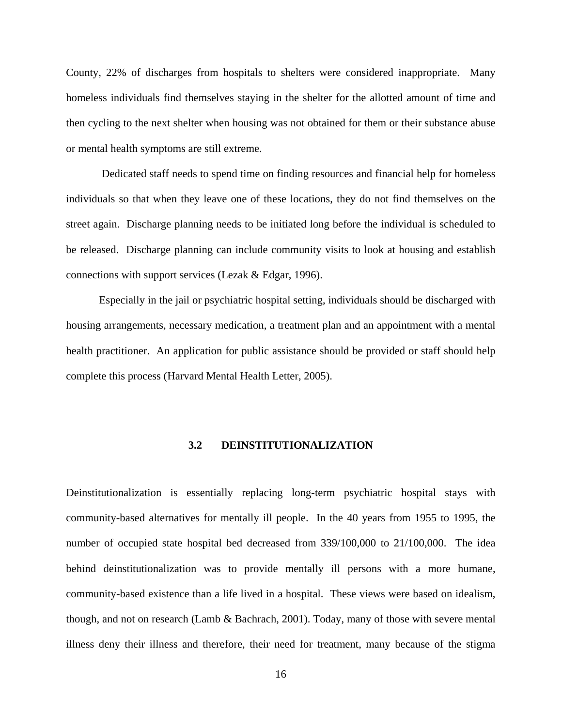<span id="page-24-0"></span>County, 22% of discharges from hospitals to shelters were considered inappropriate. Many homeless individuals find themselves staying in the shelter for the allotted amount of time and then cycling to the next shelter when housing was not obtained for them or their substance abuse or mental health symptoms are still extreme.

 Dedicated staff needs to spend time on finding resources and financial help for homeless individuals so that when they leave one of these locations, they do not find themselves on the street again. Discharge planning needs to be initiated long before the individual is scheduled to be released. Discharge planning can include community visits to look at housing and establish connections with support services (Lezak & Edgar, 1996).

Especially in the jail or psychiatric hospital setting, individuals should be discharged with housing arrangements, necessary medication, a treatment plan and an appointment with a mental health practitioner. An application for public assistance should be provided or staff should help complete this process (Harvard Mental Health Letter, 2005).

## **3.2 DEINSTITUTIONALIZATION**

Deinstitutionalization is essentially replacing long-term psychiatric hospital stays with community-based alternatives for mentally ill people. In the 40 years from 1955 to 1995, the number of occupied state hospital bed decreased from 339/100,000 to 21/100,000. The idea behind deinstitutionalization was to provide mentally ill persons with a more humane, community-based existence than a life lived in a hospital. These views were based on idealism, though, and not on research (Lamb & Bachrach, 2001). Today, many of those with severe mental illness deny their illness and therefore, their need for treatment, many because of the stigma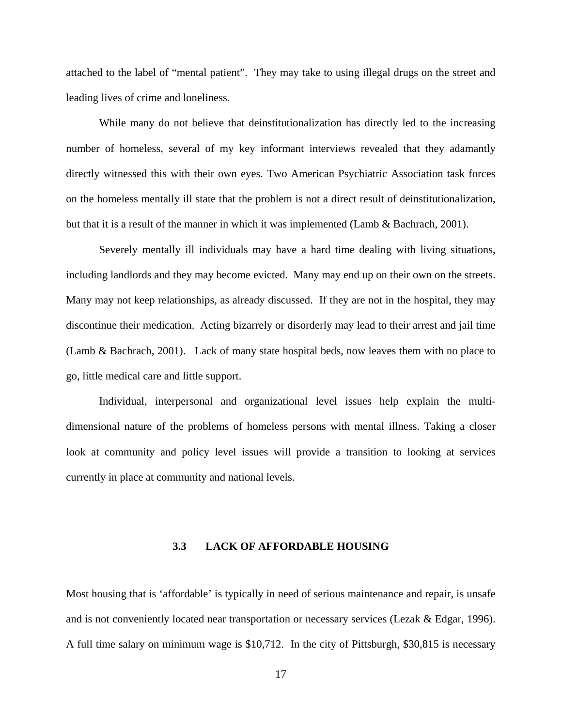<span id="page-25-0"></span>attached to the label of "mental patient". They may take to using illegal drugs on the street and leading lives of crime and loneliness.

While many do not believe that deinstitutionalization has directly led to the increasing number of homeless, several of my key informant interviews revealed that they adamantly directly witnessed this with their own eyes. Two American Psychiatric Association task forces on the homeless mentally ill state that the problem is not a direct result of deinstitutionalization, but that it is a result of the manner in which it was implemented (Lamb & Bachrach, 2001).

Severely mentally ill individuals may have a hard time dealing with living situations, including landlords and they may become evicted. Many may end up on their own on the streets. Many may not keep relationships, as already discussed. If they are not in the hospital, they may discontinue their medication. Acting bizarrely or disorderly may lead to their arrest and jail time (Lamb & Bachrach, 2001). Lack of many state hospital beds, now leaves them with no place to go, little medical care and little support.

Individual, interpersonal and organizational level issues help explain the multidimensional nature of the problems of homeless persons with mental illness. Taking a closer look at community and policy level issues will provide a transition to looking at services currently in place at community and national levels.

## **3.3 LACK OF AFFORDABLE HOUSING**

Most housing that is 'affordable' is typically in need of serious maintenance and repair, is unsafe and is not conveniently located near transportation or necessary services (Lezak & Edgar, 1996). A full time salary on minimum wage is \$10,712. In the city of Pittsburgh, \$30,815 is necessary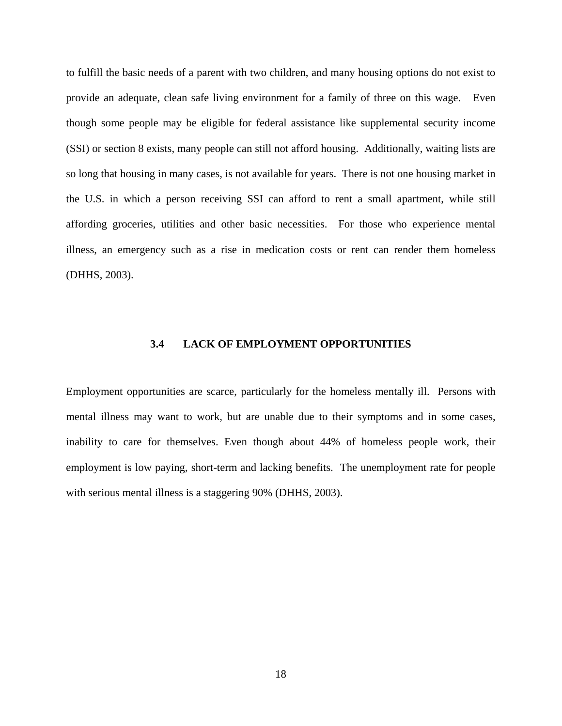<span id="page-26-0"></span>to fulfill the basic needs of a parent with two children, and many housing options do not exist to provide an adequate, clean safe living environment for a family of three on this wage. Even though some people may be eligible for federal assistance like supplemental security income (SSI) or section 8 exists, many people can still not afford housing. Additionally, waiting lists are so long that housing in many cases, is not available for years. There is not one housing market in the U.S. in which a person receiving SSI can afford to rent a small apartment, while still affording groceries, utilities and other basic necessities. For those who experience mental illness, an emergency such as a rise in medication costs or rent can render them homeless (DHHS, 2003).

#### **3.4 LACK OF EMPLOYMENT OPPORTUNITIES**

Employment opportunities are scarce, particularly for the homeless mentally ill. Persons with mental illness may want to work, but are unable due to their symptoms and in some cases, inability to care for themselves. Even though about 44% of homeless people work, their employment is low paying, short-term and lacking benefits. The unemployment rate for people with serious mental illness is a staggering 90% (DHHS, 2003).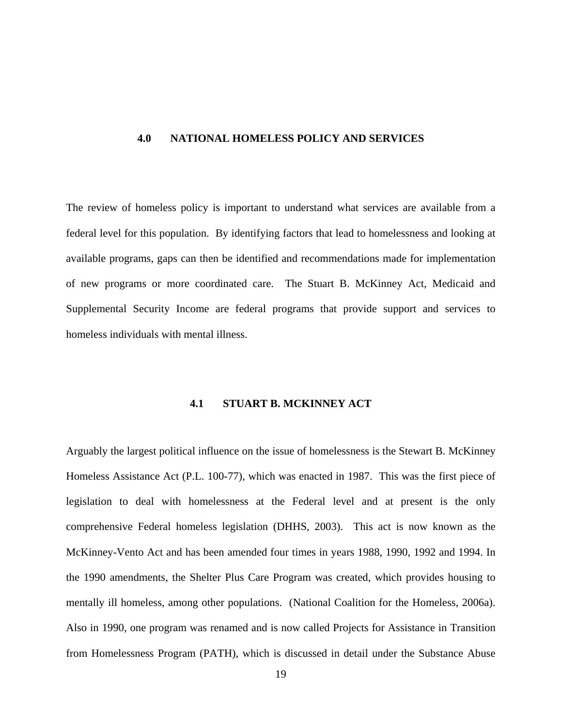#### <span id="page-27-0"></span>**4.0 NATIONAL HOMELESS POLICY AND SERVICES**

The review of homeless policy is important to understand what services are available from a federal level for this population. By identifying factors that lead to homelessness and looking at available programs, gaps can then be identified and recommendations made for implementation of new programs or more coordinated care. The Stuart B. McKinney Act, Medicaid and Supplemental Security Income are federal programs that provide support and services to homeless individuals with mental illness.

## **4.1 STUART B. MCKINNEY ACT**

Arguably the largest political influence on the issue of homelessness is the Stewart B. McKinney Homeless Assistance Act (P.L. 100-77), which was enacted in 1987. This was the first piece of legislation to deal with homelessness at the Federal level and at present is the only comprehensive Federal homeless legislation (DHHS, 2003). This act is now known as the McKinney-Vento Act and has been amended four times in years 1988, 1990, 1992 and 1994. In the 1990 amendments, the Shelter Plus Care Program was created, which provides housing to mentally ill homeless, among other populations. (National Coalition for the Homeless, 2006a). Also in 1990, one program was renamed and is now called Projects for Assistance in Transition from Homelessness Program (PATH), which is discussed in detail under the Substance Abuse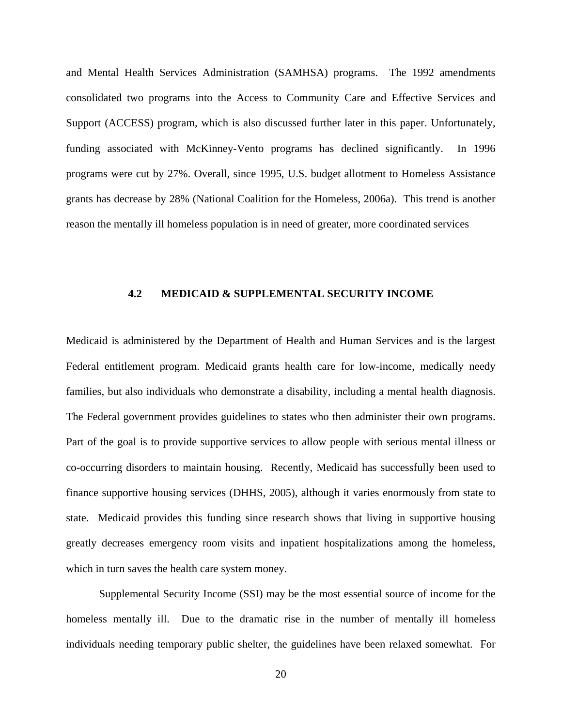<span id="page-28-0"></span>and Mental Health Services Administration (SAMHSA) programs. The 1992 amendments consolidated two programs into the Access to Community Care and Effective Services and Support (ACCESS) program, which is also discussed further later in this paper. Unfortunately, funding associated with McKinney-Vento programs has declined significantly. In 1996 programs were cut by 27%. Overall, since 1995, U.S. budget allotment to Homeless Assistance grants has decrease by 28% (National Coalition for the Homeless, 2006a). This trend is another reason the mentally ill homeless population is in need of greater, more coordinated services

#### **4.2 MEDICAID & SUPPLEMENTAL SECURITY INCOME**

Medicaid is administered by the Department of Health and Human Services and is the largest Federal entitlement program. Medicaid grants health care for low-income, medically needy families, but also individuals who demonstrate a disability, including a mental health diagnosis. The Federal government provides guidelines to states who then administer their own programs. Part of the goal is to provide supportive services to allow people with serious mental illness or co-occurring disorders to maintain housing. Recently, Medicaid has successfully been used to finance supportive housing services (DHHS, 2005), although it varies enormously from state to state. Medicaid provides this funding since research shows that living in supportive housing greatly decreases emergency room visits and inpatient hospitalizations among the homeless, which in turn saves the health care system money.

Supplemental Security Income (SSI) may be the most essential source of income for the homeless mentally ill. Due to the dramatic rise in the number of mentally ill homeless individuals needing temporary public shelter, the guidelines have been relaxed somewhat. For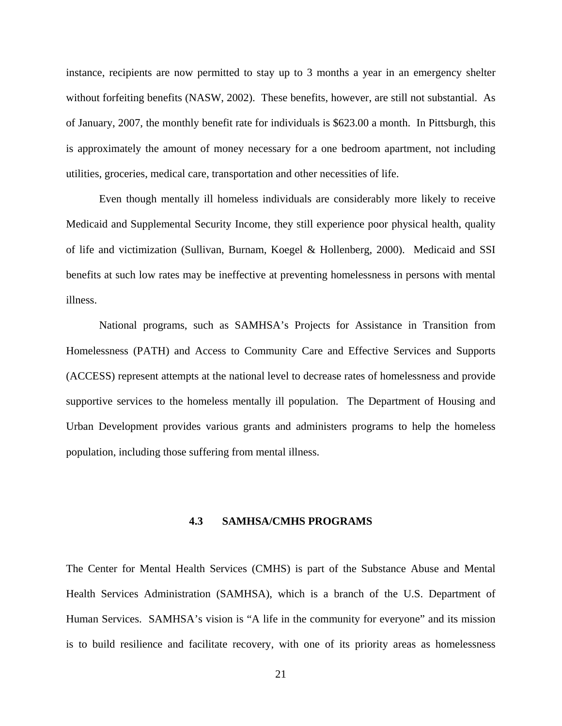<span id="page-29-0"></span>instance, recipients are now permitted to stay up to 3 months a year in an emergency shelter without forfeiting benefits (NASW, 2002). These benefits, however, are still not substantial. As of January, 2007, the monthly benefit rate for individuals is \$623.00 a month. In Pittsburgh, this is approximately the amount of money necessary for a one bedroom apartment, not including utilities, groceries, medical care, transportation and other necessities of life.

Even though mentally ill homeless individuals are considerably more likely to receive Medicaid and Supplemental Security Income, they still experience poor physical health, quality of life and victimization (Sullivan, Burnam, Koegel & Hollenberg, 2000). Medicaid and SSI benefits at such low rates may be ineffective at preventing homelessness in persons with mental illness.

National programs, such as SAMHSA's Projects for Assistance in Transition from Homelessness (PATH) and Access to Community Care and Effective Services and Supports (ACCESS) represent attempts at the national level to decrease rates of homelessness and provide supportive services to the homeless mentally ill population. The Department of Housing and Urban Development provides various grants and administers programs to help the homeless population, including those suffering from mental illness.

#### **4.3 SAMHSA/CMHS PROGRAMS**

The Center for Mental Health Services (CMHS) is part of the Substance Abuse and Mental Health Services Administration (SAMHSA), which is a branch of the U.S. Department of Human Services. SAMHSA's vision is "A life in the community for everyone" and its mission is to build resilience and facilitate recovery, with one of its priority areas as homelessness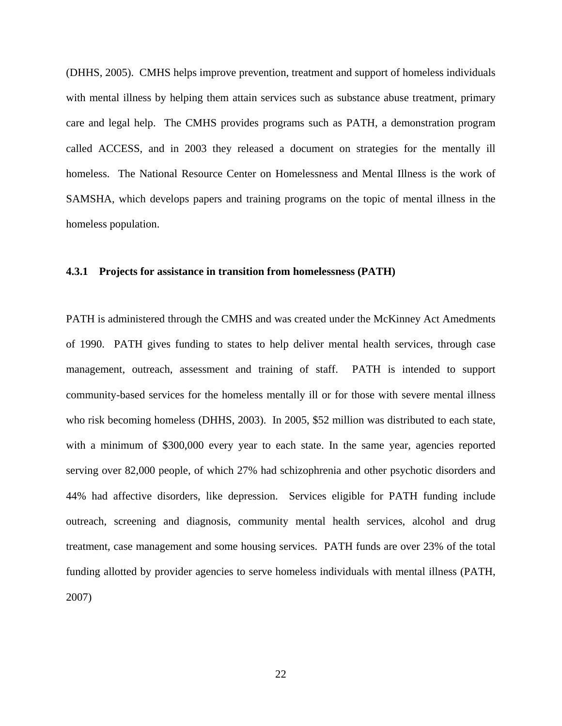<span id="page-30-0"></span>(DHHS, 2005). CMHS helps improve prevention, treatment and support of homeless individuals with mental illness by helping them attain services such as substance abuse treatment, primary care and legal help. The CMHS provides programs such as PATH, a demonstration program called ACCESS, and in 2003 they released a document on strategies for the mentally ill homeless. The National Resource Center on Homelessness and Mental Illness is the work of SAMSHA, which develops papers and training programs on the topic of mental illness in the homeless population.

#### **4.3.1 Projects for assistance in transition from homelessness (PATH)**

PATH is administered through the CMHS and was created under the McKinney Act Amedments of 1990. PATH gives funding to states to help deliver mental health services, through case management, outreach, assessment and training of staff. PATH is intended to support community-based services for the homeless mentally ill or for those with severe mental illness who risk becoming homeless (DHHS, 2003). In 2005, \$52 million was distributed to each state, with a minimum of \$300,000 every year to each state. In the same year, agencies reported serving over 82,000 people, of which 27% had schizophrenia and other psychotic disorders and 44% had affective disorders, like depression. Services eligible for PATH funding include outreach, screening and diagnosis, community mental health services, alcohol and drug treatment, case management and some housing services. PATH funds are over 23% of the total funding allotted by provider agencies to serve homeless individuals with mental illness (PATH, 2007)

22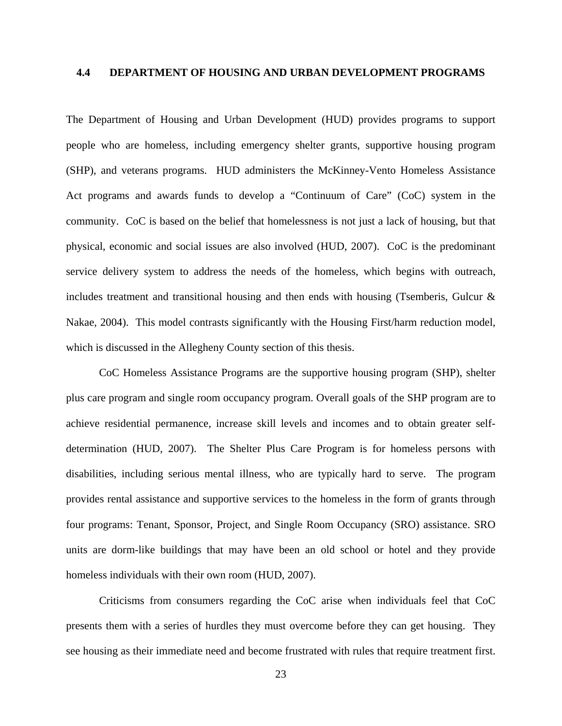## <span id="page-31-0"></span>**4.4 DEPARTMENT OF HOUSING AND URBAN DEVELOPMENT PROGRAMS**

The Department of Housing and Urban Development (HUD) provides programs to support people who are homeless, including emergency shelter grants, supportive housing program (SHP), and veterans programs. HUD administers the McKinney-Vento Homeless Assistance Act programs and awards funds to develop a "Continuum of Care" (CoC) system in the community. CoC is based on the belief that homelessness is not just a lack of housing, but that physical, economic and social issues are also involved (HUD, 2007). CoC is the predominant service delivery system to address the needs of the homeless, which begins with outreach, includes treatment and transitional housing and then ends with housing (Tsemberis, Gulcur & Nakae, 2004). This model contrasts significantly with the Housing First/harm reduction model, which is discussed in the Allegheny County section of this thesis.

CoC Homeless Assistance Programs are the supportive housing program (SHP), shelter plus care program and single room occupancy program. Overall goals of the SHP program are to achieve residential permanence, increase skill levels and incomes and to obtain greater selfdetermination (HUD, 2007). The Shelter Plus Care Program is for homeless persons with disabilities, including serious mental illness, who are typically hard to serve. The program provides rental assistance and supportive services to the homeless in the form of grants through four programs: Tenant, Sponsor, Project, and Single Room Occupancy (SRO) assistance. SRO units are dorm-like buildings that may have been an old school or hotel and they provide homeless individuals with their own room (HUD, 2007).

Criticisms from consumers regarding the CoC arise when individuals feel that CoC presents them with a series of hurdles they must overcome before they can get housing. They see housing as their immediate need and become frustrated with rules that require treatment first.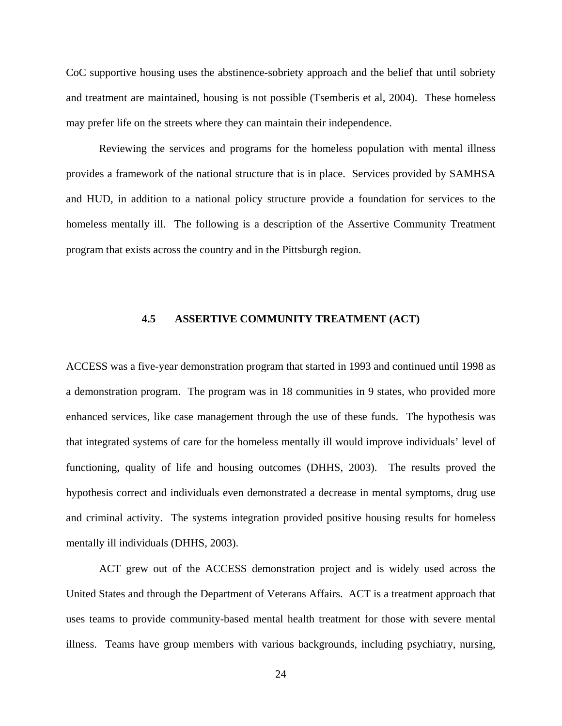<span id="page-32-0"></span>CoC supportive housing uses the abstinence-sobriety approach and the belief that until sobriety and treatment are maintained, housing is not possible (Tsemberis et al, 2004). These homeless may prefer life on the streets where they can maintain their independence.

Reviewing the services and programs for the homeless population with mental illness provides a framework of the national structure that is in place. Services provided by SAMHSA and HUD, in addition to a national policy structure provide a foundation for services to the homeless mentally ill. The following is a description of the Assertive Community Treatment program that exists across the country and in the Pittsburgh region.

## **4.5 ASSERTIVE COMMUNITY TREATMENT (ACT)**

ACCESS was a five-year demonstration program that started in 1993 and continued until 1998 as a demonstration program. The program was in 18 communities in 9 states, who provided more enhanced services, like case management through the use of these funds. The hypothesis was that integrated systems of care for the homeless mentally ill would improve individuals' level of functioning, quality of life and housing outcomes (DHHS, 2003). The results proved the hypothesis correct and individuals even demonstrated a decrease in mental symptoms, drug use and criminal activity. The systems integration provided positive housing results for homeless mentally ill individuals (DHHS, 2003).

ACT grew out of the ACCESS demonstration project and is widely used across the United States and through the Department of Veterans Affairs. ACT is a treatment approach that uses teams to provide community-based mental health treatment for those with severe mental illness. Teams have group members with various backgrounds, including psychiatry, nursing,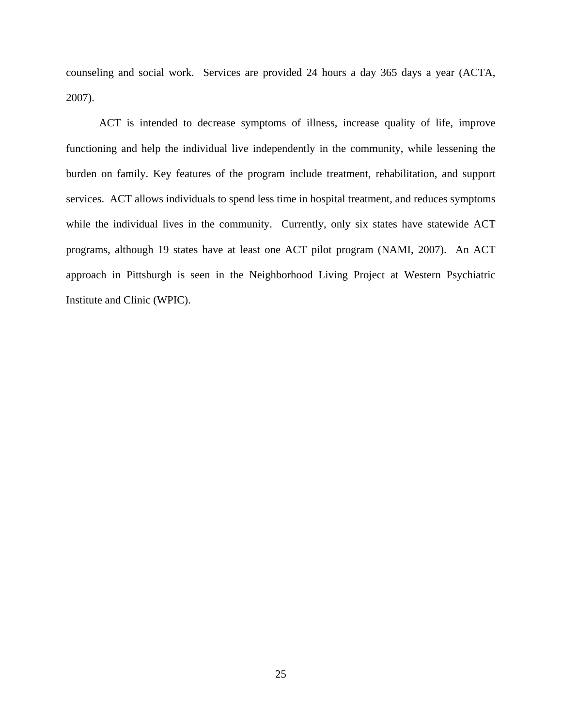counseling and social work. Services are provided 24 hours a day 365 days a year (ACTA, 2007).

ACT is intended to decrease symptoms of illness, increase quality of life, improve functioning and help the individual live independently in the community, while lessening the burden on family. Key features of the program include treatment, rehabilitation, and support services. ACT allows individuals to spend less time in hospital treatment, and reduces symptoms while the individual lives in the community. Currently, only six states have statewide ACT programs, although 19 states have at least one ACT pilot program (NAMI, 2007). An ACT approach in Pittsburgh is seen in the Neighborhood Living Project at Western Psychiatric Institute and Clinic (WPIC).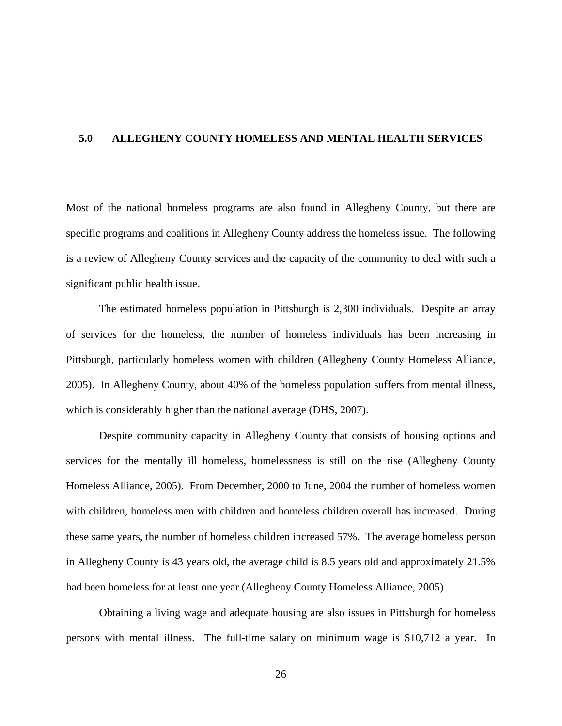## <span id="page-34-0"></span>**5.0 ALLEGHENY COUNTY HOMELESS AND MENTAL HEALTH SERVICES**

Most of the national homeless programs are also found in Allegheny County, but there are specific programs and coalitions in Allegheny County address the homeless issue. The following is a review of Allegheny County services and the capacity of the community to deal with such a significant public health issue.

The estimated homeless population in Pittsburgh is 2,300 individuals. Despite an array of services for the homeless, the number of homeless individuals has been increasing in Pittsburgh, particularly homeless women with children (Allegheny County Homeless Alliance, 2005). In Allegheny County, about 40% of the homeless population suffers from mental illness, which is considerably higher than the national average (DHS, 2007).

Despite community capacity in Allegheny County that consists of housing options and services for the mentally ill homeless, homelessness is still on the rise (Allegheny County Homeless Alliance, 2005). From December, 2000 to June, 2004 the number of homeless women with children, homeless men with children and homeless children overall has increased. During these same years, the number of homeless children increased 57%. The average homeless person in Allegheny County is 43 years old, the average child is 8.5 years old and approximately 21.5% had been homeless for at least one year (Allegheny County Homeless Alliance, 2005).

Obtaining a living wage and adequate housing are also issues in Pittsburgh for homeless persons with mental illness. The full-time salary on minimum wage is \$10,712 a year. In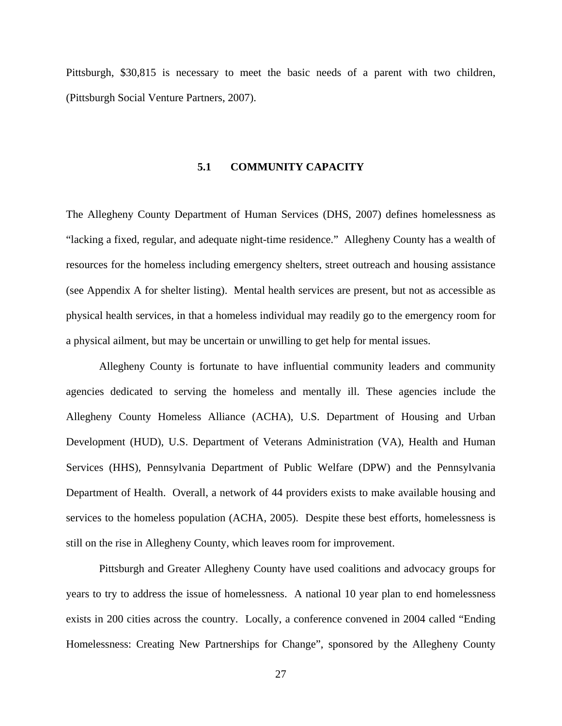<span id="page-35-0"></span>Pittsburgh, \$30,815 is necessary to meet the basic needs of a parent with two children, (Pittsburgh Social Venture Partners, 2007).

#### **5.1 COMMUNITY CAPACITY**

The Allegheny County Department of Human Services (DHS, 2007) defines homelessness as "lacking a fixed, regular, and adequate night-time residence." Allegheny County has a wealth of resources for the homeless including emergency shelters, street outreach and housing assistance (see Appendix A for shelter listing). Mental health services are present, but not as accessible as physical health services, in that a homeless individual may readily go to the emergency room for a physical ailment, but may be uncertain or unwilling to get help for mental issues.

Allegheny County is fortunate to have influential community leaders and community agencies dedicated to serving the homeless and mentally ill. These agencies include the Allegheny County Homeless Alliance (ACHA), U.S. Department of Housing and Urban Development (HUD), U.S. Department of Veterans Administration (VA), Health and Human Services (HHS), Pennsylvania Department of Public Welfare (DPW) and the Pennsylvania Department of Health. Overall, a network of 44 providers exists to make available housing and services to the homeless population (ACHA, 2005). Despite these best efforts, homelessness is still on the rise in Allegheny County, which leaves room for improvement.

Pittsburgh and Greater Allegheny County have used coalitions and advocacy groups for years to try to address the issue of homelessness. A national 10 year plan to end homelessness exists in 200 cities across the country. Locally, a conference convened in 2004 called "Ending Homelessness: Creating New Partnerships for Change", sponsored by the Allegheny County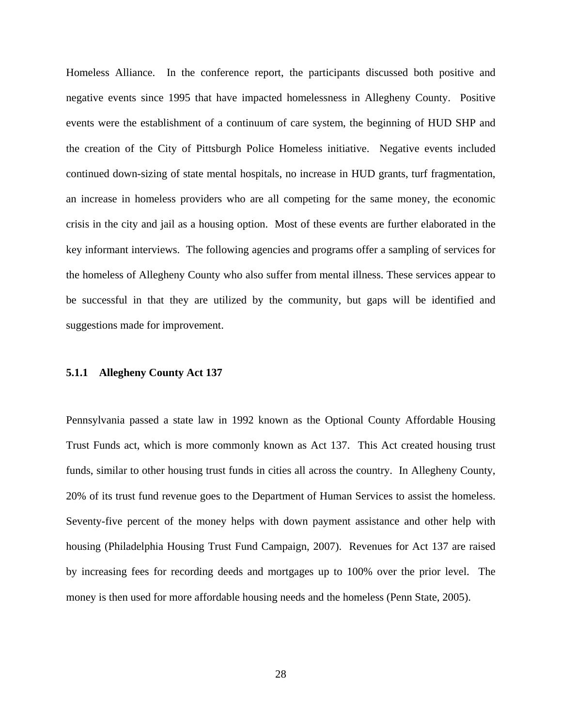Homeless Alliance. In the conference report, the participants discussed both positive and negative events since 1995 that have impacted homelessness in Allegheny County. Positive events were the establishment of a continuum of care system, the beginning of HUD SHP and the creation of the City of Pittsburgh Police Homeless initiative. Negative events included continued down-sizing of state mental hospitals, no increase in HUD grants, turf fragmentation, an increase in homeless providers who are all competing for the same money, the economic crisis in the city and jail as a housing option. Most of these events are further elaborated in the key informant interviews. The following agencies and programs offer a sampling of services for the homeless of Allegheny County who also suffer from mental illness. These services appear to be successful in that they are utilized by the community, but gaps will be identified and suggestions made for improvement.

# **5.1.1 Allegheny County Act 137**

Pennsylvania passed a state law in 1992 known as the Optional County Affordable Housing Trust Funds act, which is more commonly known as Act 137. This Act created housing trust funds, similar to other housing trust funds in cities all across the country. In Allegheny County, 20% of its trust fund revenue goes to the Department of Human Services to assist the homeless. Seventy-five percent of the money helps with down payment assistance and other help with housing (Philadelphia Housing Trust Fund Campaign, 2007). Revenues for Act 137 are raised by increasing fees for recording deeds and mortgages up to 100% over the prior level. The money is then used for more affordable housing needs and the homeless (Penn State, 2005).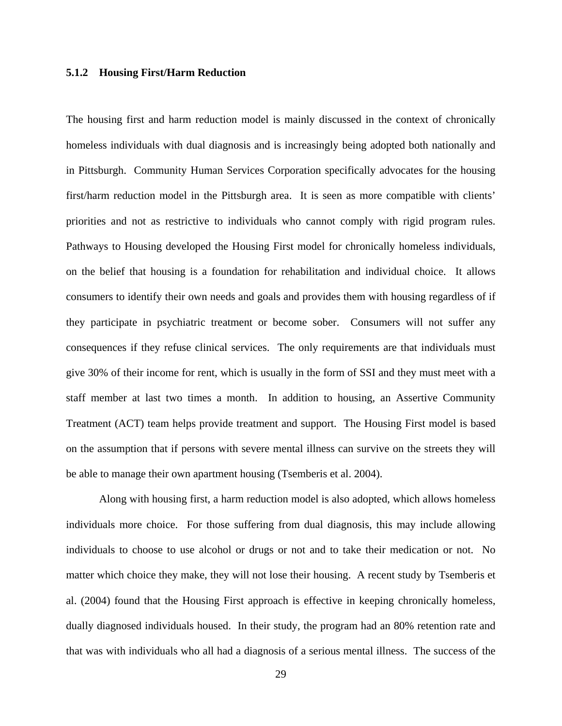#### **5.1.2 Housing First/Harm Reduction**

The housing first and harm reduction model is mainly discussed in the context of chronically homeless individuals with dual diagnosis and is increasingly being adopted both nationally and in Pittsburgh. Community Human Services Corporation specifically advocates for the housing first/harm reduction model in the Pittsburgh area. It is seen as more compatible with clients' priorities and not as restrictive to individuals who cannot comply with rigid program rules. Pathways to Housing developed the Housing First model for chronically homeless individuals, on the belief that housing is a foundation for rehabilitation and individual choice. It allows consumers to identify their own needs and goals and provides them with housing regardless of if they participate in psychiatric treatment or become sober. Consumers will not suffer any consequences if they refuse clinical services. The only requirements are that individuals must give 30% of their income for rent, which is usually in the form of SSI and they must meet with a staff member at last two times a month. In addition to housing, an Assertive Community Treatment (ACT) team helps provide treatment and support. The Housing First model is based on the assumption that if persons with severe mental illness can survive on the streets they will be able to manage their own apartment housing (Tsemberis et al. 2004).

Along with housing first, a harm reduction model is also adopted, which allows homeless individuals more choice. For those suffering from dual diagnosis, this may include allowing individuals to choose to use alcohol or drugs or not and to take their medication or not. No matter which choice they make, they will not lose their housing. A recent study by Tsemberis et al. (2004) found that the Housing First approach is effective in keeping chronically homeless, dually diagnosed individuals housed. In their study, the program had an 80% retention rate and that was with individuals who all had a diagnosis of a serious mental illness. The success of the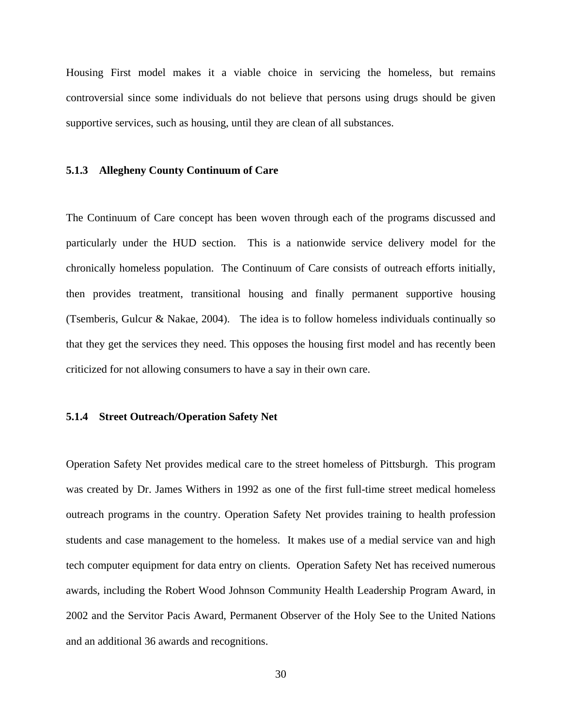Housing First model makes it a viable choice in servicing the homeless, but remains controversial since some individuals do not believe that persons using drugs should be given supportive services, such as housing, until they are clean of all substances.

#### **5.1.3 Allegheny County Continuum of Care**

The Continuum of Care concept has been woven through each of the programs discussed and particularly under the HUD section. This is a nationwide service delivery model for the chronically homeless population. The Continuum of Care consists of outreach efforts initially, then provides treatment, transitional housing and finally permanent supportive housing (Tsemberis, Gulcur & Nakae, 2004). The idea is to follow homeless individuals continually so that they get the services they need. This opposes the housing first model and has recently been criticized for not allowing consumers to have a say in their own care.

# **5.1.4 Street Outreach/Operation Safety Net**

Operation Safety Net provides medical care to the street homeless of Pittsburgh. This program was created by Dr. James Withers in 1992 as one of the first full-time street medical homeless outreach programs in the country. Operation Safety Net provides training to health profession students and case management to the homeless. It makes use of a medial service van and high tech computer equipment for data entry on clients. Operation Safety Net has received numerous awards, including the Robert Wood Johnson Community Health Leadership Program Award, in 2002 and the Servitor Pacis Award, Permanent Observer of the Holy See to the United Nations and an additional 36 awards and recognitions.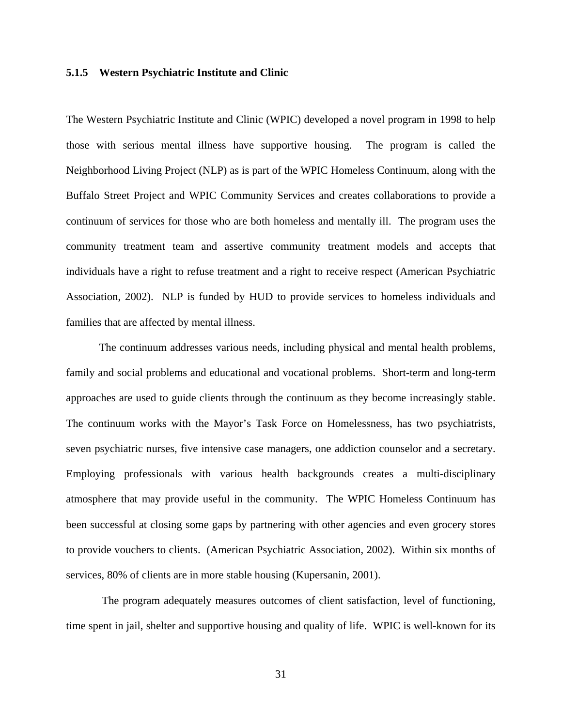#### **5.1.5 Western Psychiatric Institute and Clinic**

The Western Psychiatric Institute and Clinic (WPIC) developed a novel program in 1998 to help those with serious mental illness have supportive housing. The program is called the Neighborhood Living Project (NLP) as is part of the WPIC Homeless Continuum, along with the Buffalo Street Project and WPIC Community Services and creates collaborations to provide a continuum of services for those who are both homeless and mentally ill. The program uses the community treatment team and assertive community treatment models and accepts that individuals have a right to refuse treatment and a right to receive respect (American Psychiatric Association, 2002). NLP is funded by HUD to provide services to homeless individuals and families that are affected by mental illness.

The continuum addresses various needs, including physical and mental health problems, family and social problems and educational and vocational problems. Short-term and long-term approaches are used to guide clients through the continuum as they become increasingly stable. The continuum works with the Mayor's Task Force on Homelessness, has two psychiatrists, seven psychiatric nurses, five intensive case managers, one addiction counselor and a secretary. Employing professionals with various health backgrounds creates a multi-disciplinary atmosphere that may provide useful in the community. The WPIC Homeless Continuum has been successful at closing some gaps by partnering with other agencies and even grocery stores to provide vouchers to clients. (American Psychiatric Association, 2002). Within six months of services, 80% of clients are in more stable housing (Kupersanin, 2001).

 The program adequately measures outcomes of client satisfaction, level of functioning, time spent in jail, shelter and supportive housing and quality of life. WPIC is well-known for its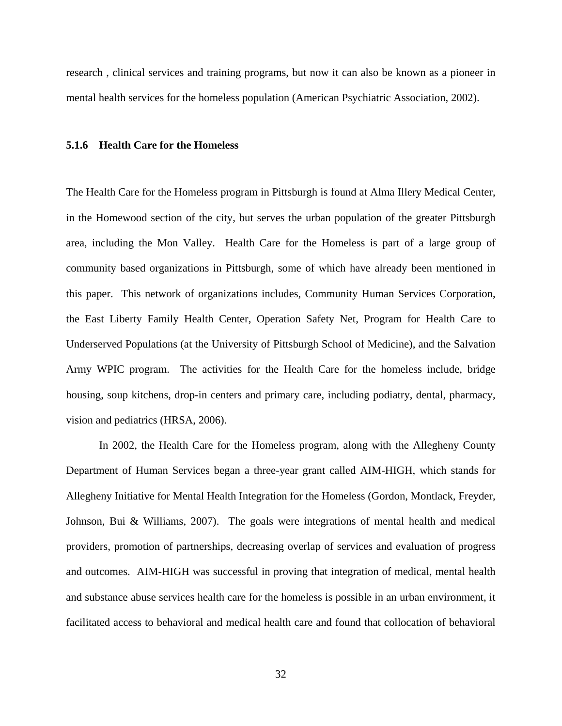research , clinical services and training programs, but now it can also be known as a pioneer in mental health services for the homeless population (American Psychiatric Association, 2002).

#### **5.1.6 Health Care for the Homeless**

The Health Care for the Homeless program in Pittsburgh is found at Alma Illery Medical Center, in the Homewood section of the city, but serves the urban population of the greater Pittsburgh area, including the Mon Valley. Health Care for the Homeless is part of a large group of community based organizations in Pittsburgh, some of which have already been mentioned in this paper. This network of organizations includes, Community Human Services Corporation, the East Liberty Family Health Center, Operation Safety Net, Program for Health Care to Underserved Populations (at the University of Pittsburgh School of Medicine), and the Salvation Army WPIC program. The activities for the Health Care for the homeless include, bridge housing, soup kitchens, drop-in centers and primary care, including podiatry, dental, pharmacy, vision and pediatrics (HRSA, 2006).

In 2002, the Health Care for the Homeless program, along with the Allegheny County Department of Human Services began a three-year grant called AIM-HIGH, which stands for Allegheny Initiative for Mental Health Integration for the Homeless (Gordon, Montlack, Freyder, Johnson, Bui & Williams, 2007). The goals were integrations of mental health and medical providers, promotion of partnerships, decreasing overlap of services and evaluation of progress and outcomes. AIM-HIGH was successful in proving that integration of medical, mental health and substance abuse services health care for the homeless is possible in an urban environment, it facilitated access to behavioral and medical health care and found that collocation of behavioral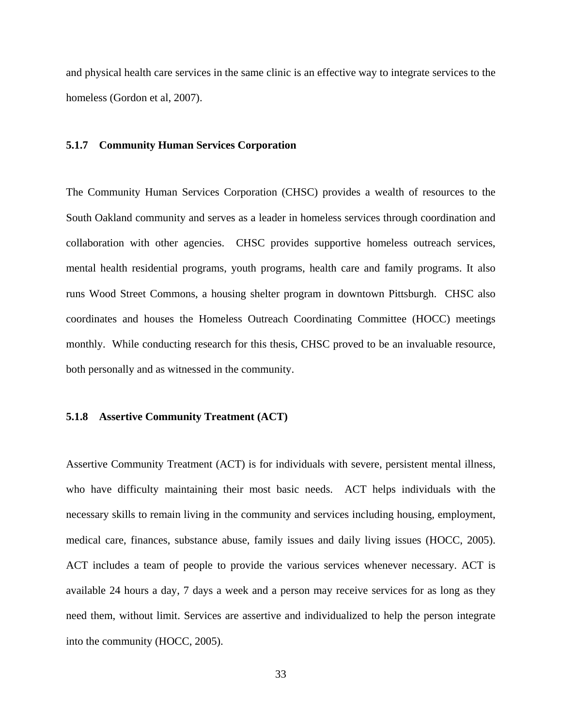and physical health care services in the same clinic is an effective way to integrate services to the homeless (Gordon et al, 2007).

#### **5.1.7 Community Human Services Corporation**

The Community Human Services Corporation (CHSC) provides a wealth of resources to the South Oakland community and serves as a leader in homeless services through coordination and collaboration with other agencies. CHSC provides supportive homeless outreach services, mental health residential programs, youth programs, health care and family programs. It also runs Wood Street Commons, a housing shelter program in downtown Pittsburgh. CHSC also coordinates and houses the Homeless Outreach Coordinating Committee (HOCC) meetings monthly. While conducting research for this thesis, CHSC proved to be an invaluable resource, both personally and as witnessed in the community.

# **5.1.8 Assertive Community Treatment (ACT)**

Assertive Community Treatment (ACT) is for individuals with severe, persistent mental illness, who have difficulty maintaining their most basic needs. ACT helps individuals with the necessary skills to remain living in the community and services including housing, employment, medical care, finances, substance abuse, family issues and daily living issues (HOCC, 2005). ACT includes a team of people to provide the various services whenever necessary. ACT is available 24 hours a day, 7 days a week and a person may receive services for as long as they need them, without limit. Services are assertive and individualized to help the person integrate into the community (HOCC, 2005).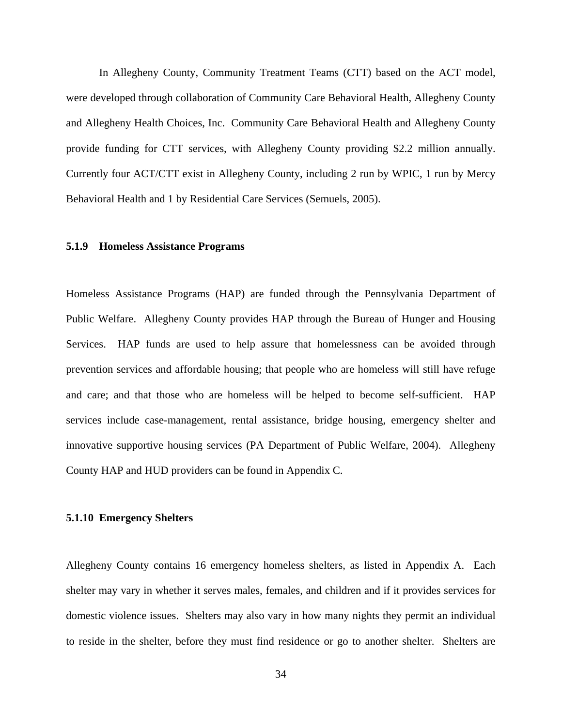In Allegheny County, Community Treatment Teams (CTT) based on the ACT model, were developed through collaboration of Community Care Behavioral Health, Allegheny County and Allegheny Health Choices, Inc. Community Care Behavioral Health and Allegheny County provide funding for CTT services, with Allegheny County providing \$2.2 million annually. Currently four ACT/CTT exist in Allegheny County, including 2 run by WPIC, 1 run by Mercy Behavioral Health and 1 by Residential Care Services (Semuels, 2005).

#### **5.1.9 Homeless Assistance Programs**

Homeless Assistance Programs (HAP) are funded through the Pennsylvania Department of Public Welfare. Allegheny County provides HAP through the Bureau of Hunger and Housing Services. HAP funds are used to help assure that homelessness can be avoided through prevention services and affordable housing; that people who are homeless will still have refuge and care; and that those who are homeless will be helped to become self-sufficient. HAP services include case-management, rental assistance, bridge housing, emergency shelter and innovative supportive housing services (PA Department of Public Welfare, 2004). Allegheny County HAP and HUD providers can be found in Appendix C.

#### **5.1.10 Emergency Shelters**

Allegheny County contains 16 emergency homeless shelters, as listed in Appendix A. Each shelter may vary in whether it serves males, females, and children and if it provides services for domestic violence issues. Shelters may also vary in how many nights they permit an individual to reside in the shelter, before they must find residence or go to another shelter. Shelters are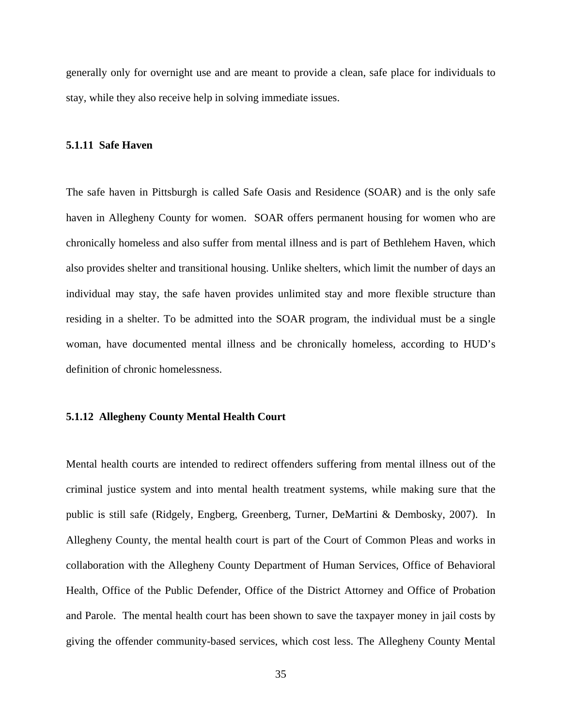generally only for overnight use and are meant to provide a clean, safe place for individuals to stay, while they also receive help in solving immediate issues.

#### **5.1.11 Safe Haven**

The safe haven in Pittsburgh is called Safe Oasis and Residence (SOAR) and is the only safe haven in Allegheny County for women. SOAR offers permanent housing for women who are chronically homeless and also suffer from mental illness and is part of Bethlehem Haven, which also provides shelter and transitional housing. Unlike shelters, which limit the number of days an individual may stay, the safe haven provides unlimited stay and more flexible structure than residing in a shelter. To be admitted into the SOAR program, the individual must be a single woman, have documented mental illness and be chronically homeless, according to HUD's definition of chronic homelessness.

# **5.1.12 Allegheny County Mental Health Court**

Mental health courts are intended to redirect offenders suffering from mental illness out of the criminal justice system and into mental health treatment systems, while making sure that the public is still safe (Ridgely, Engberg, Greenberg, Turner, DeMartini & Dembosky, 2007). In Allegheny County, the mental health court is part of the Court of Common Pleas and works in collaboration with the Allegheny County Department of Human Services, Office of Behavioral Health, Office of the Public Defender, Office of the District Attorney and Office of Probation and Parole. The mental health court has been shown to save the taxpayer money in jail costs by giving the offender community-based services, which cost less. The Allegheny County Mental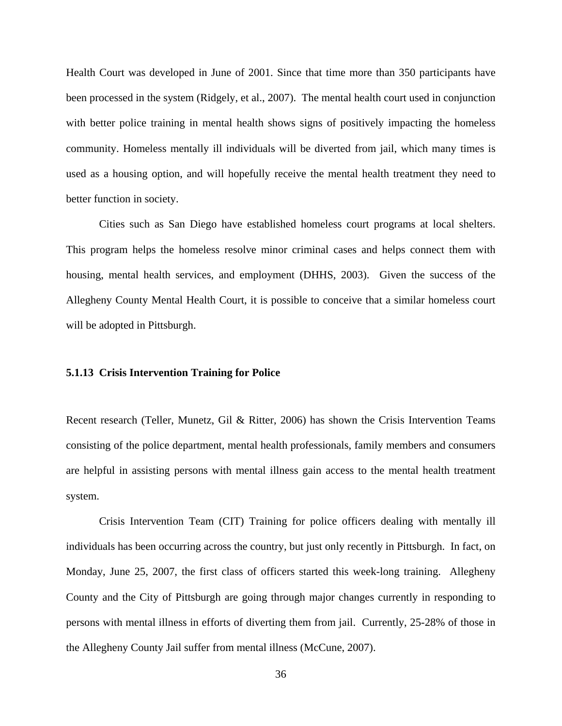Health Court was developed in June of 2001. Since that time more than 350 participants have been processed in the system (Ridgely, et al., 2007). The mental health court used in conjunction with better police training in mental health shows signs of positively impacting the homeless community. Homeless mentally ill individuals will be diverted from jail, which many times is used as a housing option, and will hopefully receive the mental health treatment they need to better function in society.

Cities such as San Diego have established homeless court programs at local shelters. This program helps the homeless resolve minor criminal cases and helps connect them with housing, mental health services, and employment (DHHS, 2003). Given the success of the Allegheny County Mental Health Court, it is possible to conceive that a similar homeless court will be adopted in Pittsburgh.

#### **5.1.13 Crisis Intervention Training for Police**

Recent research (Teller, Munetz, Gil & Ritter, 2006) has shown the Crisis Intervention Teams consisting of the police department, mental health professionals, family members and consumers are helpful in assisting persons with mental illness gain access to the mental health treatment system.

Crisis Intervention Team (CIT) Training for police officers dealing with mentally ill individuals has been occurring across the country, but just only recently in Pittsburgh. In fact, on Monday, June 25, 2007, the first class of officers started this week-long training. Allegheny County and the City of Pittsburgh are going through major changes currently in responding to persons with mental illness in efforts of diverting them from jail. Currently, 25-28% of those in the Allegheny County Jail suffer from mental illness (McCune, 2007).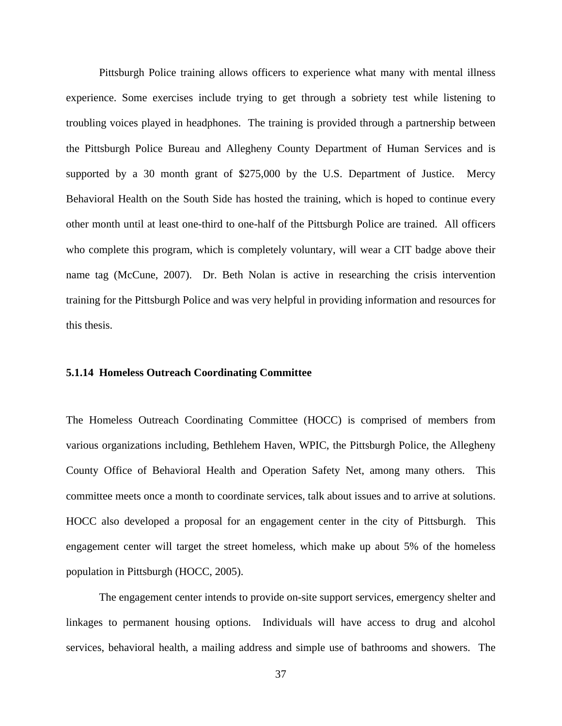Pittsburgh Police training allows officers to experience what many with mental illness experience. Some exercises include trying to get through a sobriety test while listening to troubling voices played in headphones. The training is provided through a partnership between the Pittsburgh Police Bureau and Allegheny County Department of Human Services and is supported by a 30 month grant of \$275,000 by the U.S. Department of Justice. Mercy Behavioral Health on the South Side has hosted the training, which is hoped to continue every other month until at least one-third to one-half of the Pittsburgh Police are trained. All officers who complete this program, which is completely voluntary, will wear a CIT badge above their name tag (McCune, 2007). Dr. Beth Nolan is active in researching the crisis intervention training for the Pittsburgh Police and was very helpful in providing information and resources for this thesis.

# **5.1.14 Homeless Outreach Coordinating Committee**

The Homeless Outreach Coordinating Committee (HOCC) is comprised of members from various organizations including, Bethlehem Haven, WPIC, the Pittsburgh Police, the Allegheny County Office of Behavioral Health and Operation Safety Net, among many others. This committee meets once a month to coordinate services, talk about issues and to arrive at solutions. HOCC also developed a proposal for an engagement center in the city of Pittsburgh. This engagement center will target the street homeless, which make up about 5% of the homeless population in Pittsburgh (HOCC, 2005).

The engagement center intends to provide on-site support services, emergency shelter and linkages to permanent housing options. Individuals will have access to drug and alcohol services, behavioral health, a mailing address and simple use of bathrooms and showers. The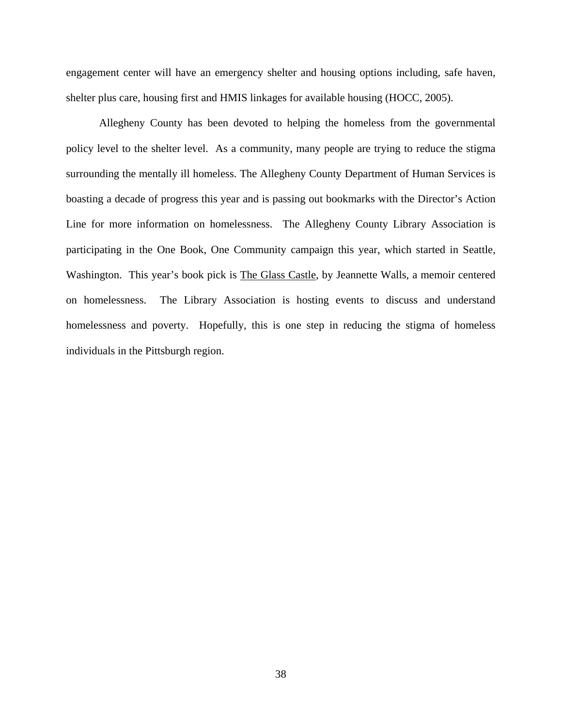engagement center will have an emergency shelter and housing options including, safe haven, shelter plus care, housing first and HMIS linkages for available housing (HOCC, 2005).

Allegheny County has been devoted to helping the homeless from the governmental policy level to the shelter level. As a community, many people are trying to reduce the stigma surrounding the mentally ill homeless. The Allegheny County Department of Human Services is boasting a decade of progress this year and is passing out bookmarks with the Director's Action Line for more information on homelessness. The Allegheny County Library Association is participating in the One Book, One Community campaign this year, which started in Seattle, Washington. This year's book pick is The Glass Castle, by Jeannette Walls, a memoir centered on homelessness. The Library Association is hosting events to discuss and understand homelessness and poverty. Hopefully, this is one step in reducing the stigma of homeless individuals in the Pittsburgh region.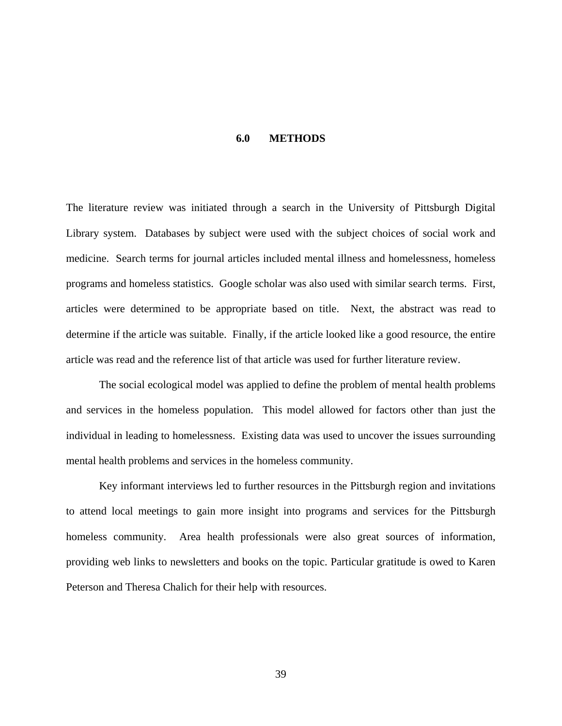#### **6.0 METHODS**

The literature review was initiated through a search in the University of Pittsburgh Digital Library system. Databases by subject were used with the subject choices of social work and medicine. Search terms for journal articles included mental illness and homelessness, homeless programs and homeless statistics. Google scholar was also used with similar search terms. First, articles were determined to be appropriate based on title. Next, the abstract was read to determine if the article was suitable. Finally, if the article looked like a good resource, the entire article was read and the reference list of that article was used for further literature review.

The social ecological model was applied to define the problem of mental health problems and services in the homeless population. This model allowed for factors other than just the individual in leading to homelessness. Existing data was used to uncover the issues surrounding mental health problems and services in the homeless community.

Key informant interviews led to further resources in the Pittsburgh region and invitations to attend local meetings to gain more insight into programs and services for the Pittsburgh homeless community. Area health professionals were also great sources of information, providing web links to newsletters and books on the topic. Particular gratitude is owed to Karen Peterson and Theresa Chalich for their help with resources.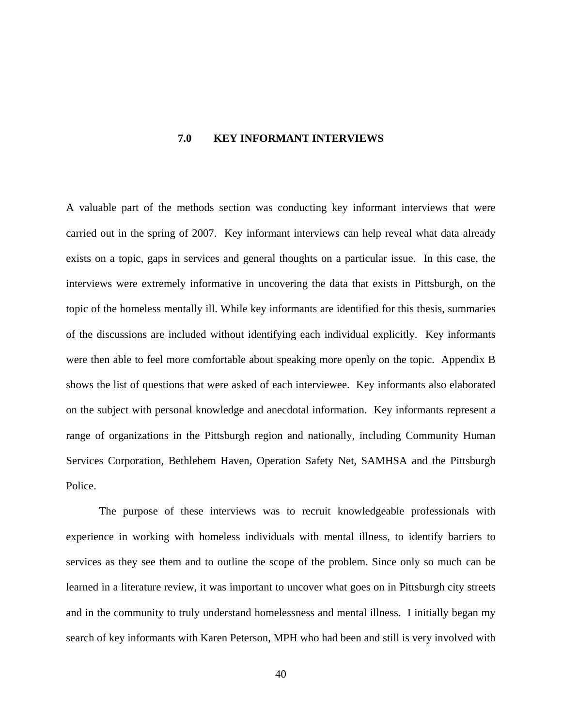#### **7.0 KEY INFORMANT INTERVIEWS**

A valuable part of the methods section was conducting key informant interviews that were carried out in the spring of 2007. Key informant interviews can help reveal what data already exists on a topic, gaps in services and general thoughts on a particular issue. In this case, the interviews were extremely informative in uncovering the data that exists in Pittsburgh, on the topic of the homeless mentally ill. While key informants are identified for this thesis, summaries of the discussions are included without identifying each individual explicitly. Key informants were then able to feel more comfortable about speaking more openly on the topic. Appendix B shows the list of questions that were asked of each interviewee. Key informants also elaborated on the subject with personal knowledge and anecdotal information. Key informants represent a range of organizations in the Pittsburgh region and nationally, including Community Human Services Corporation, Bethlehem Haven, Operation Safety Net, SAMHSA and the Pittsburgh Police.

The purpose of these interviews was to recruit knowledgeable professionals with experience in working with homeless individuals with mental illness, to identify barriers to services as they see them and to outline the scope of the problem. Since only so much can be learned in a literature review, it was important to uncover what goes on in Pittsburgh city streets and in the community to truly understand homelessness and mental illness. I initially began my search of key informants with Karen Peterson, MPH who had been and still is very involved with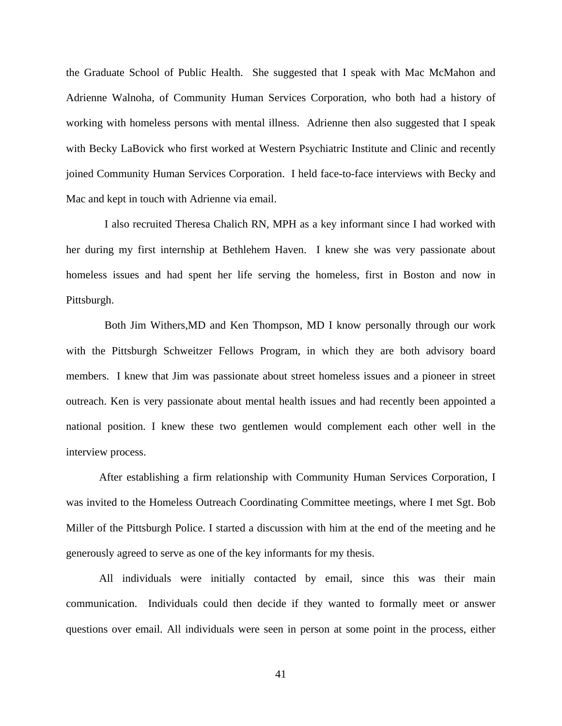the Graduate School of Public Health. She suggested that I speak with Mac McMahon and Adrienne Walnoha, of Community Human Services Corporation, who both had a history of working with homeless persons with mental illness. Adrienne then also suggested that I speak with Becky LaBovick who first worked at Western Psychiatric Institute and Clinic and recently joined Community Human Services Corporation. I held face-to-face interviews with Becky and Mac and kept in touch with Adrienne via email.

 I also recruited Theresa Chalich RN, MPH as a key informant since I had worked with her during my first internship at Bethlehem Haven. I knew she was very passionate about homeless issues and had spent her life serving the homeless, first in Boston and now in Pittsburgh.

 Both Jim Withers,MD and Ken Thompson, MD I know personally through our work with the Pittsburgh Schweitzer Fellows Program, in which they are both advisory board members. I knew that Jim was passionate about street homeless issues and a pioneer in street outreach. Ken is very passionate about mental health issues and had recently been appointed a national position. I knew these two gentlemen would complement each other well in the interview process.

After establishing a firm relationship with Community Human Services Corporation, I was invited to the Homeless Outreach Coordinating Committee meetings, where I met Sgt. Bob Miller of the Pittsburgh Police. I started a discussion with him at the end of the meeting and he generously agreed to serve as one of the key informants for my thesis.

All individuals were initially contacted by email, since this was their main communication. Individuals could then decide if they wanted to formally meet or answer questions over email. All individuals were seen in person at some point in the process, either

41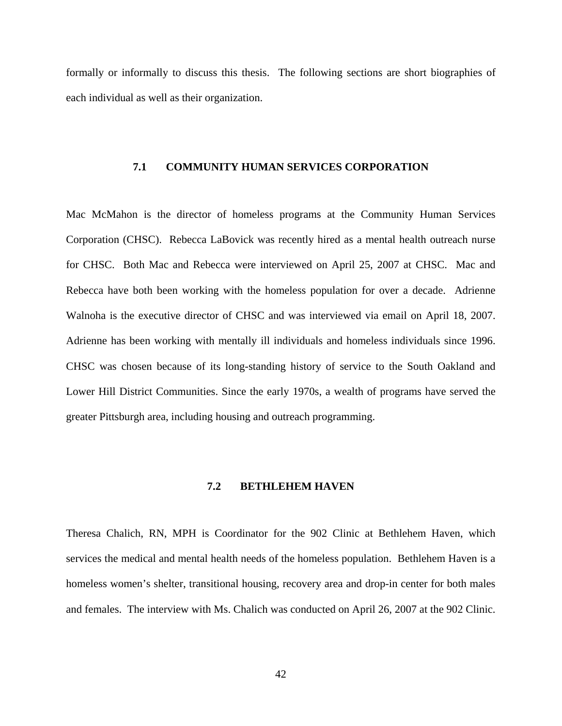formally or informally to discuss this thesis. The following sections are short biographies of each individual as well as their organization.

#### **7.1 COMMUNITY HUMAN SERVICES CORPORATION**

Mac McMahon is the director of homeless programs at the Community Human Services Corporation (CHSC). Rebecca LaBovick was recently hired as a mental health outreach nurse for CHSC. Both Mac and Rebecca were interviewed on April 25, 2007 at CHSC. Mac and Rebecca have both been working with the homeless population for over a decade. Adrienne Walnoha is the executive director of CHSC and was interviewed via email on April 18, 2007. Adrienne has been working with mentally ill individuals and homeless individuals since 1996. CHSC was chosen because of its long-standing history of service to the South Oakland and Lower Hill District Communities. Since the early 1970s, a wealth of programs have served the greater Pittsburgh area, including housing and outreach programming.

# **7.2 BETHLEHEM HAVEN**

Theresa Chalich, RN, MPH is Coordinator for the 902 Clinic at Bethlehem Haven, which services the medical and mental health needs of the homeless population. Bethlehem Haven is a homeless women's shelter, transitional housing, recovery area and drop-in center for both males and females. The interview with Ms. Chalich was conducted on April 26, 2007 at the 902 Clinic.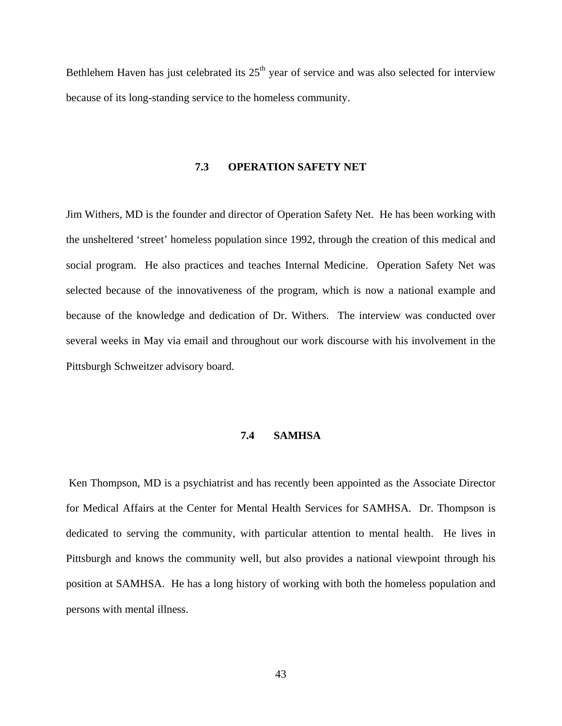Bethlehem Haven has just celebrated its  $25<sup>th</sup>$  year of service and was also selected for interview because of its long-standing service to the homeless community.

#### **7.3 OPERATION SAFETY NET**

Jim Withers, MD is the founder and director of Operation Safety Net. He has been working with the unsheltered 'street' homeless population since 1992, through the creation of this medical and social program. He also practices and teaches Internal Medicine. Operation Safety Net was selected because of the innovativeness of the program, which is now a national example and because of the knowledge and dedication of Dr. Withers. The interview was conducted over several weeks in May via email and throughout our work discourse with his involvement in the Pittsburgh Schweitzer advisory board.

# **7.4 SAMHSA**

 Ken Thompson, MD is a psychiatrist and has recently been appointed as the Associate Director for Medical Affairs at the Center for Mental Health Services for SAMHSA. Dr. Thompson is dedicated to serving the community, with particular attention to mental health. He lives in Pittsburgh and knows the community well, but also provides a national viewpoint through his position at SAMHSA. He has a long history of working with both the homeless population and persons with mental illness.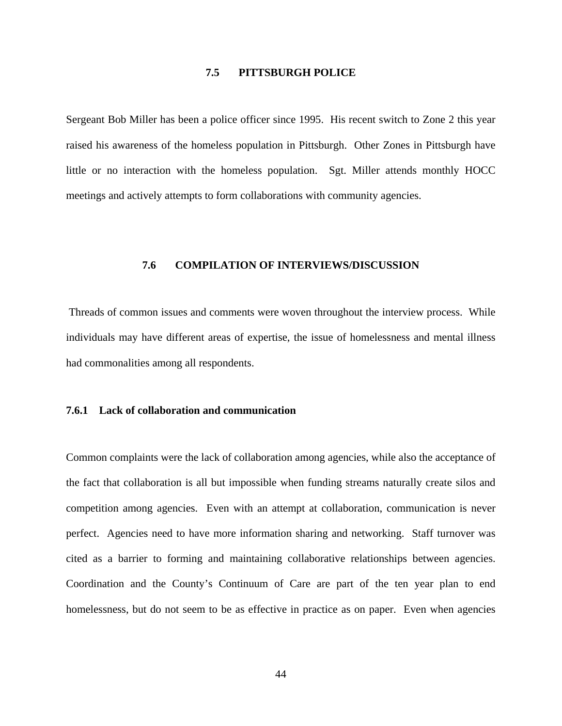# **7.5 PITTSBURGH POLICE**

Sergeant Bob Miller has been a police officer since 1995. His recent switch to Zone 2 this year raised his awareness of the homeless population in Pittsburgh. Other Zones in Pittsburgh have little or no interaction with the homeless population. Sgt. Miller attends monthly HOCC meetings and actively attempts to form collaborations with community agencies.

#### **7.6 COMPILATION OF INTERVIEWS/DISCUSSION**

 Threads of common issues and comments were woven throughout the interview process. While individuals may have different areas of expertise, the issue of homelessness and mental illness had commonalities among all respondents.

# **7.6.1 Lack of collaboration and communication**

Common complaints were the lack of collaboration among agencies, while also the acceptance of the fact that collaboration is all but impossible when funding streams naturally create silos and competition among agencies. Even with an attempt at collaboration, communication is never perfect. Agencies need to have more information sharing and networking. Staff turnover was cited as a barrier to forming and maintaining collaborative relationships between agencies. Coordination and the County's Continuum of Care are part of the ten year plan to end homelessness, but do not seem to be as effective in practice as on paper. Even when agencies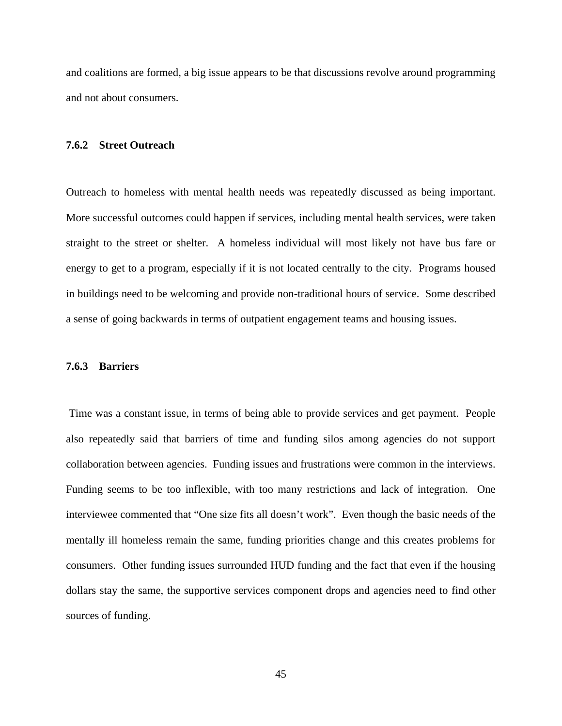and coalitions are formed, a big issue appears to be that discussions revolve around programming and not about consumers.

#### **7.6.2 Street Outreach**

Outreach to homeless with mental health needs was repeatedly discussed as being important. More successful outcomes could happen if services, including mental health services, were taken straight to the street or shelter. A homeless individual will most likely not have bus fare or energy to get to a program, especially if it is not located centrally to the city. Programs housed in buildings need to be welcoming and provide non-traditional hours of service. Some described a sense of going backwards in terms of outpatient engagement teams and housing issues.

#### **7.6.3 Barriers**

 Time was a constant issue, in terms of being able to provide services and get payment. People also repeatedly said that barriers of time and funding silos among agencies do not support collaboration between agencies. Funding issues and frustrations were common in the interviews. Funding seems to be too inflexible, with too many restrictions and lack of integration. One interviewee commented that "One size fits all doesn't work". Even though the basic needs of the mentally ill homeless remain the same, funding priorities change and this creates problems for consumers. Other funding issues surrounded HUD funding and the fact that even if the housing dollars stay the same, the supportive services component drops and agencies need to find other sources of funding.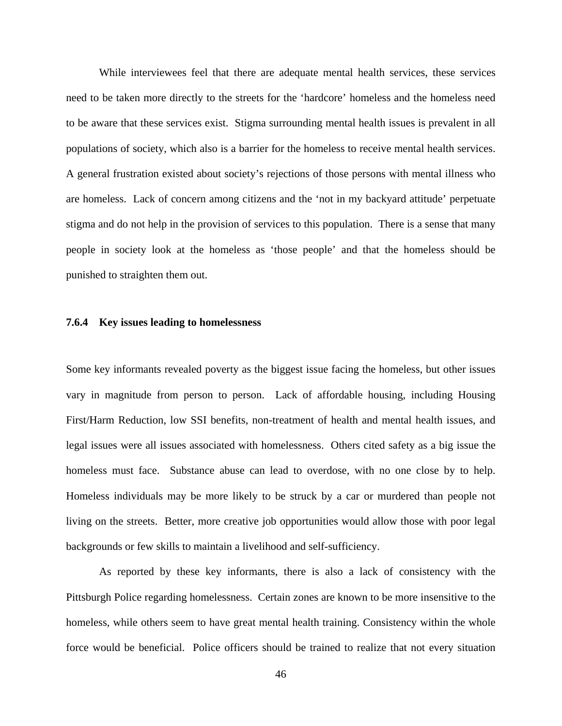While interviewees feel that there are adequate mental health services, these services need to be taken more directly to the streets for the 'hardcore' homeless and the homeless need to be aware that these services exist. Stigma surrounding mental health issues is prevalent in all populations of society, which also is a barrier for the homeless to receive mental health services. A general frustration existed about society's rejections of those persons with mental illness who are homeless. Lack of concern among citizens and the 'not in my backyard attitude' perpetuate stigma and do not help in the provision of services to this population. There is a sense that many people in society look at the homeless as 'those people' and that the homeless should be punished to straighten them out.

#### **7.6.4 Key issues leading to homelessness**

Some key informants revealed poverty as the biggest issue facing the homeless, but other issues vary in magnitude from person to person. Lack of affordable housing, including Housing First/Harm Reduction, low SSI benefits, non-treatment of health and mental health issues, and legal issues were all issues associated with homelessness. Others cited safety as a big issue the homeless must face. Substance abuse can lead to overdose, with no one close by to help. Homeless individuals may be more likely to be struck by a car or murdered than people not living on the streets. Better, more creative job opportunities would allow those with poor legal backgrounds or few skills to maintain a livelihood and self-sufficiency.

As reported by these key informants, there is also a lack of consistency with the Pittsburgh Police regarding homelessness. Certain zones are known to be more insensitive to the homeless, while others seem to have great mental health training. Consistency within the whole force would be beneficial. Police officers should be trained to realize that not every situation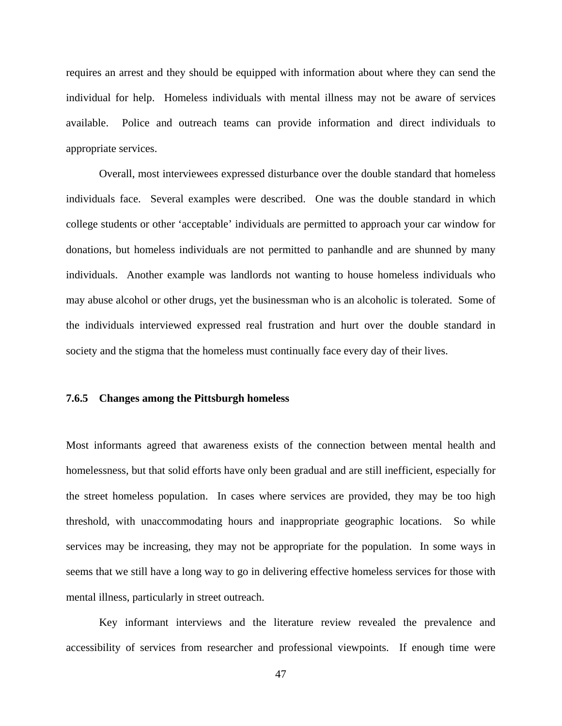requires an arrest and they should be equipped with information about where they can send the individual for help. Homeless individuals with mental illness may not be aware of services available. Police and outreach teams can provide information and direct individuals to appropriate services.

Overall, most interviewees expressed disturbance over the double standard that homeless individuals face. Several examples were described. One was the double standard in which college students or other 'acceptable' individuals are permitted to approach your car window for donations, but homeless individuals are not permitted to panhandle and are shunned by many individuals. Another example was landlords not wanting to house homeless individuals who may abuse alcohol or other drugs, yet the businessman who is an alcoholic is tolerated. Some of the individuals interviewed expressed real frustration and hurt over the double standard in society and the stigma that the homeless must continually face every day of their lives.

#### **7.6.5 Changes among the Pittsburgh homeless**

Most informants agreed that awareness exists of the connection between mental health and homelessness, but that solid efforts have only been gradual and are still inefficient, especially for the street homeless population. In cases where services are provided, they may be too high threshold, with unaccommodating hours and inappropriate geographic locations. So while services may be increasing, they may not be appropriate for the population. In some ways in seems that we still have a long way to go in delivering effective homeless services for those with mental illness, particularly in street outreach.

Key informant interviews and the literature review revealed the prevalence and accessibility of services from researcher and professional viewpoints. If enough time were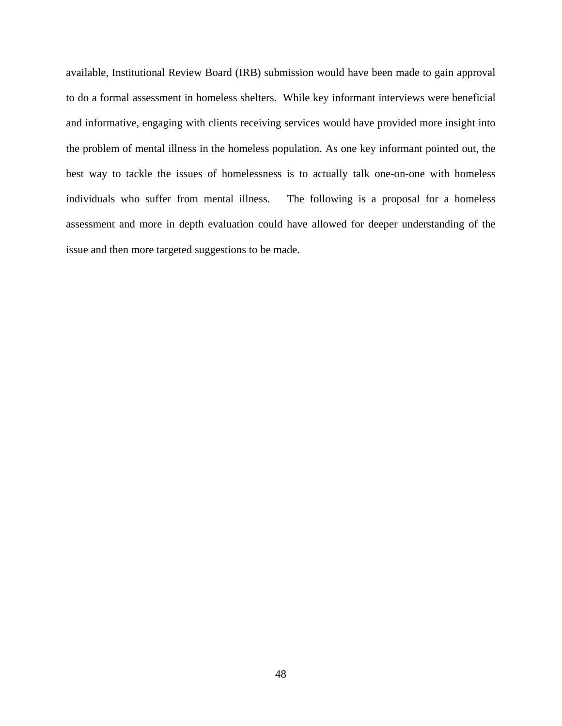available, Institutional Review Board (IRB) submission would have been made to gain approval to do a formal assessment in homeless shelters. While key informant interviews were beneficial and informative, engaging with clients receiving services would have provided more insight into the problem of mental illness in the homeless population. As one key informant pointed out, the best way to tackle the issues of homelessness is to actually talk one-on-one with homeless individuals who suffer from mental illness. The following is a proposal for a homeless assessment and more in depth evaluation could have allowed for deeper understanding of the issue and then more targeted suggestions to be made.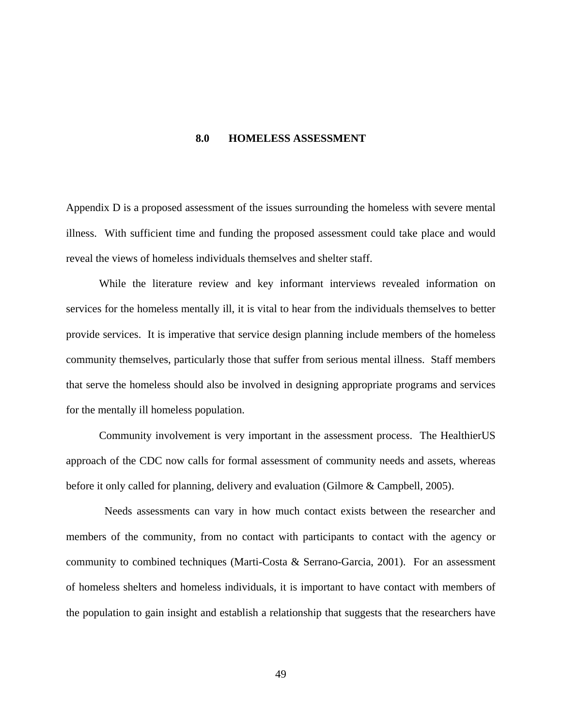#### **8.0 HOMELESS ASSESSMENT**

Appendix D is a proposed assessment of the issues surrounding the homeless with severe mental illness. With sufficient time and funding the proposed assessment could take place and would reveal the views of homeless individuals themselves and shelter staff.

While the literature review and key informant interviews revealed information on services for the homeless mentally ill, it is vital to hear from the individuals themselves to better provide services. It is imperative that service design planning include members of the homeless community themselves, particularly those that suffer from serious mental illness. Staff members that serve the homeless should also be involved in designing appropriate programs and services for the mentally ill homeless population.

Community involvement is very important in the assessment process. The HealthierUS approach of the CDC now calls for formal assessment of community needs and assets, whereas before it only called for planning, delivery and evaluation (Gilmore & Campbell, 2005).

 Needs assessments can vary in how much contact exists between the researcher and members of the community, from no contact with participants to contact with the agency or community to combined techniques (Marti-Costa & Serrano-Garcia, 2001). For an assessment of homeless shelters and homeless individuals, it is important to have contact with members of the population to gain insight and establish a relationship that suggests that the researchers have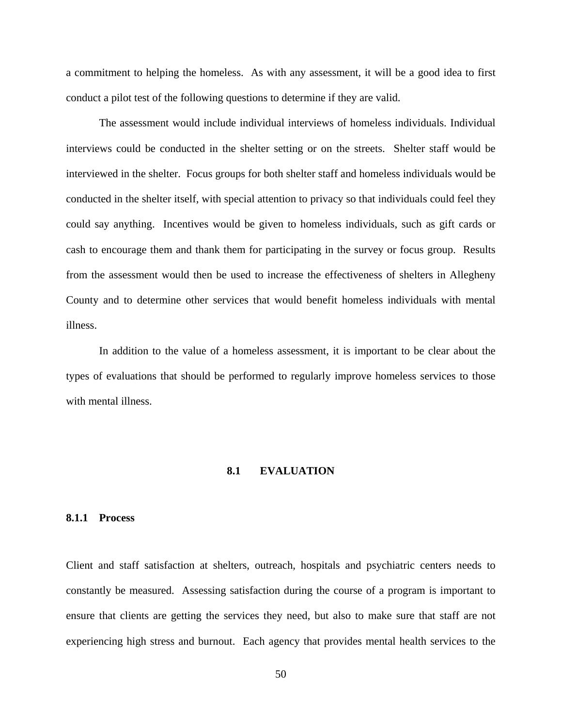a commitment to helping the homeless. As with any assessment, it will be a good idea to first conduct a pilot test of the following questions to determine if they are valid.

The assessment would include individual interviews of homeless individuals. Individual interviews could be conducted in the shelter setting or on the streets. Shelter staff would be interviewed in the shelter. Focus groups for both shelter staff and homeless individuals would be conducted in the shelter itself, with special attention to privacy so that individuals could feel they could say anything. Incentives would be given to homeless individuals, such as gift cards or cash to encourage them and thank them for participating in the survey or focus group. Results from the assessment would then be used to increase the effectiveness of shelters in Allegheny County and to determine other services that would benefit homeless individuals with mental illness.

In addition to the value of a homeless assessment, it is important to be clear about the types of evaluations that should be performed to regularly improve homeless services to those with mental illness.

# **8.1 EVALUATION**

#### **8.1.1 Process**

Client and staff satisfaction at shelters, outreach, hospitals and psychiatric centers needs to constantly be measured. Assessing satisfaction during the course of a program is important to ensure that clients are getting the services they need, but also to make sure that staff are not experiencing high stress and burnout. Each agency that provides mental health services to the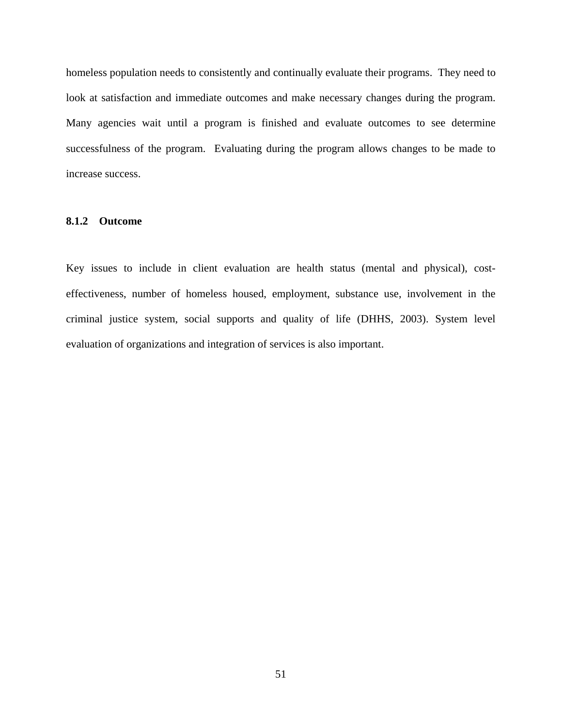homeless population needs to consistently and continually evaluate their programs. They need to look at satisfaction and immediate outcomes and make necessary changes during the program. Many agencies wait until a program is finished and evaluate outcomes to see determine successfulness of the program. Evaluating during the program allows changes to be made to increase success.

#### **8.1.2 Outcome**

Key issues to include in client evaluation are health status (mental and physical), costeffectiveness, number of homeless housed, employment, substance use, involvement in the criminal justice system, social supports and quality of life (DHHS, 2003). System level evaluation of organizations and integration of services is also important.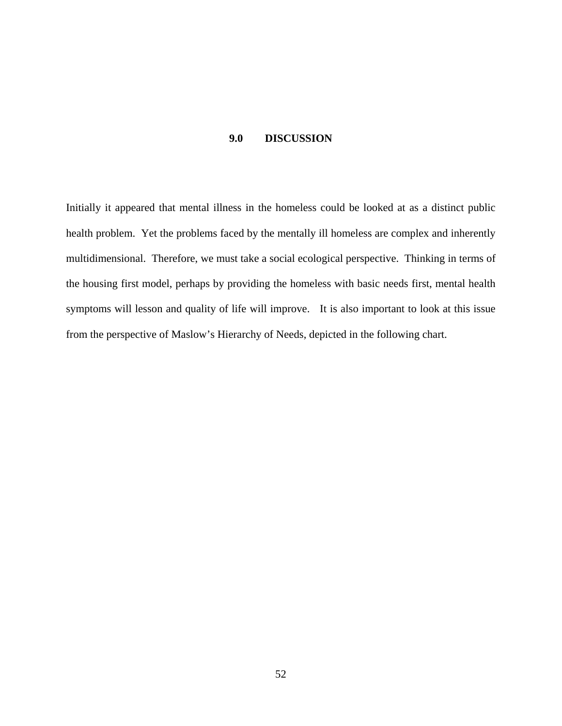#### **9.0 DISCUSSION**

Initially it appeared that mental illness in the homeless could be looked at as a distinct public health problem. Yet the problems faced by the mentally ill homeless are complex and inherently multidimensional. Therefore, we must take a social ecological perspective. Thinking in terms of the housing first model, perhaps by providing the homeless with basic needs first, mental health symptoms will lesson and quality of life will improve. It is also important to look at this issue from the perspective of Maslow's Hierarchy of Needs, depicted in the following chart.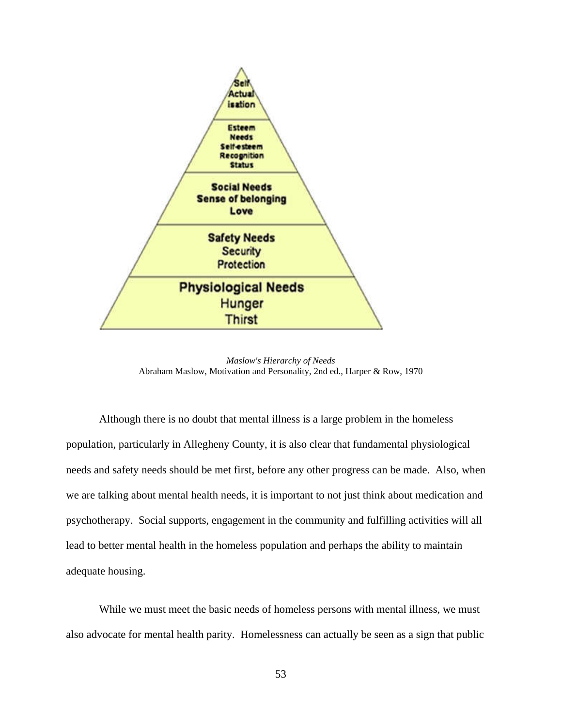

*Maslow's Hierarchy of Needs* Abraham Maslow, Motivation and Personality, 2nd ed., Harper & Row, 1970

Although there is no doubt that mental illness is a large problem in the homeless population, particularly in Allegheny County, it is also clear that fundamental physiological needs and safety needs should be met first, before any other progress can be made. Also, when we are talking about mental health needs, it is important to not just think about medication and psychotherapy. Social supports, engagement in the community and fulfilling activities will all lead to better mental health in the homeless population and perhaps the ability to maintain adequate housing.

 While we must meet the basic needs of homeless persons with mental illness, we must also advocate for mental health parity. Homelessness can actually be seen as a sign that public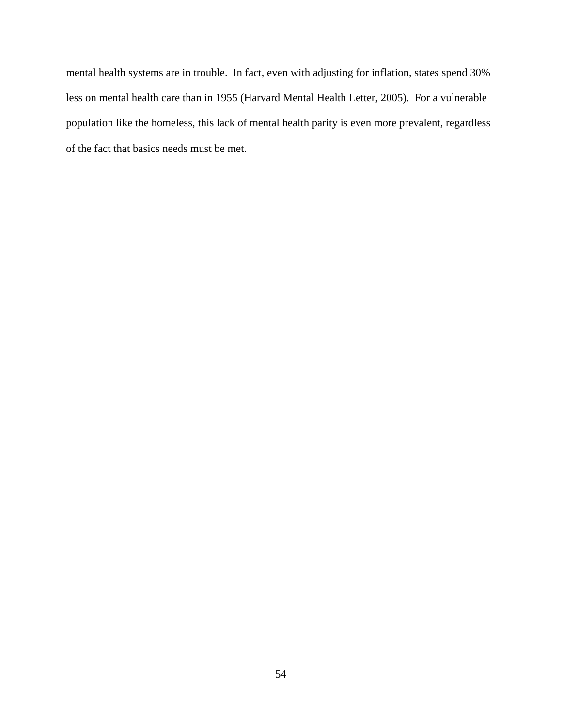mental health systems are in trouble. In fact, even with adjusting for inflation, states spend 30% less on mental health care than in 1955 (Harvard Mental Health Letter, 2005). For a vulnerable population like the homeless, this lack of mental health parity is even more prevalent, regardless of the fact that basics needs must be met.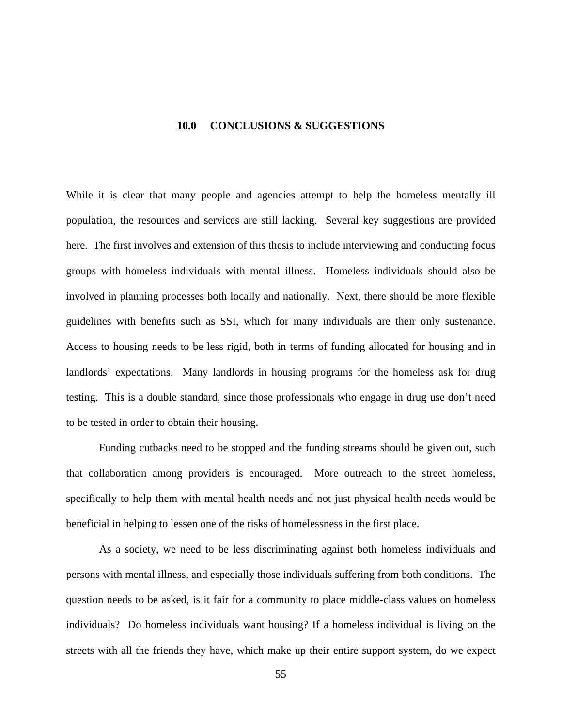#### **10.0 CONCLUSIONS & SUGGESTIONS**

While it is clear that many people and agencies attempt to help the homeless mentally ill population, the resources and services are still lacking. Several key suggestions are provided here. The first involves and extension of this thesis to include interviewing and conducting focus groups with homeless individuals with mental illness. Homeless individuals should also be involved in planning processes both locally and nationally. Next, there should be more flexible guidelines with benefits such as SSI, which for many individuals are their only sustenance. Access to housing needs to be less rigid, both in terms of funding allocated for housing and in landlords' expectations. Many landlords in housing programs for the homeless ask for drug testing. This is a double standard, since those professionals who engage in drug use don't need to be tested in order to obtain their housing.

Funding cutbacks need to be stopped and the funding streams should be given out, such that collaboration among providers is encouraged. More outreach to the street homeless, specifically to help them with mental health needs and not just physical health needs would be beneficial in helping to lessen one of the risks of homelessness in the first place.

As a society, we need to be less discriminating against both homeless individuals and persons with mental illness, and especially those individuals suffering from both conditions. The question needs to be asked, is it fair for a community to place middle-class values on homeless individuals? Do homeless individuals want housing? If a homeless individual is living on the streets with all the friends they have, which make up their entire support system, do we expect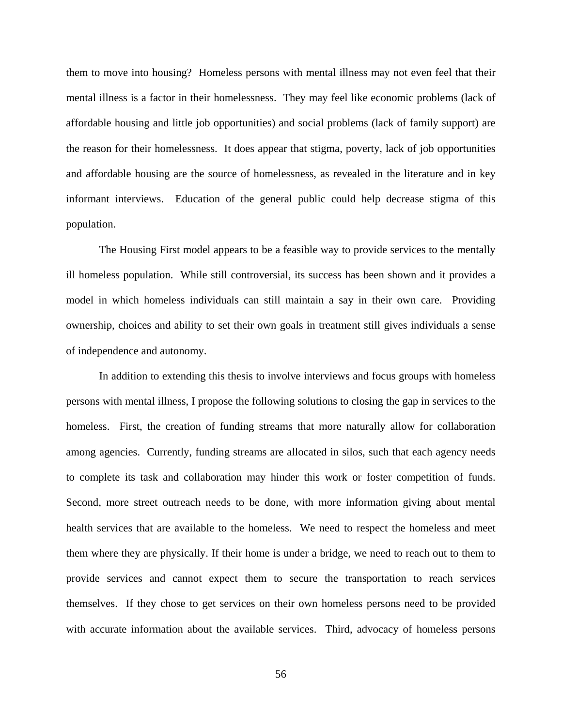them to move into housing? Homeless persons with mental illness may not even feel that their mental illness is a factor in their homelessness. They may feel like economic problems (lack of affordable housing and little job opportunities) and social problems (lack of family support) are the reason for their homelessness. It does appear that stigma, poverty, lack of job opportunities and affordable housing are the source of homelessness, as revealed in the literature and in key informant interviews. Education of the general public could help decrease stigma of this population.

The Housing First model appears to be a feasible way to provide services to the mentally ill homeless population. While still controversial, its success has been shown and it provides a model in which homeless individuals can still maintain a say in their own care. Providing ownership, choices and ability to set their own goals in treatment still gives individuals a sense of independence and autonomy.

In addition to extending this thesis to involve interviews and focus groups with homeless persons with mental illness, I propose the following solutions to closing the gap in services to the homeless. First, the creation of funding streams that more naturally allow for collaboration among agencies. Currently, funding streams are allocated in silos, such that each agency needs to complete its task and collaboration may hinder this work or foster competition of funds. Second, more street outreach needs to be done, with more information giving about mental health services that are available to the homeless. We need to respect the homeless and meet them where they are physically. If their home is under a bridge, we need to reach out to them to provide services and cannot expect them to secure the transportation to reach services themselves. If they chose to get services on their own homeless persons need to be provided with accurate information about the available services. Third, advocacy of homeless persons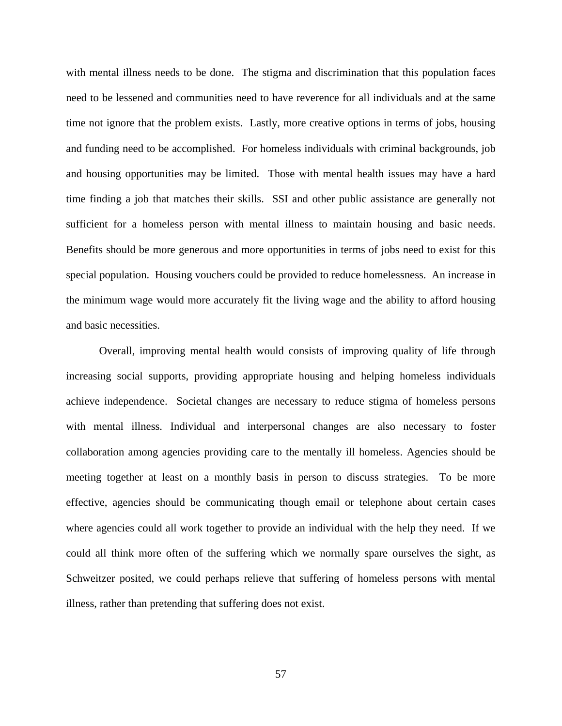with mental illness needs to be done. The stigma and discrimination that this population faces need to be lessened and communities need to have reverence for all individuals and at the same time not ignore that the problem exists. Lastly, more creative options in terms of jobs, housing and funding need to be accomplished. For homeless individuals with criminal backgrounds, job and housing opportunities may be limited. Those with mental health issues may have a hard time finding a job that matches their skills. SSI and other public assistance are generally not sufficient for a homeless person with mental illness to maintain housing and basic needs. Benefits should be more generous and more opportunities in terms of jobs need to exist for this special population. Housing vouchers could be provided to reduce homelessness. An increase in the minimum wage would more accurately fit the living wage and the ability to afford housing and basic necessities.

Overall, improving mental health would consists of improving quality of life through increasing social supports, providing appropriate housing and helping homeless individuals achieve independence. Societal changes are necessary to reduce stigma of homeless persons with mental illness. Individual and interpersonal changes are also necessary to foster collaboration among agencies providing care to the mentally ill homeless. Agencies should be meeting together at least on a monthly basis in person to discuss strategies. To be more effective, agencies should be communicating though email or telephone about certain cases where agencies could all work together to provide an individual with the help they need. If we could all think more often of the suffering which we normally spare ourselves the sight, as Schweitzer posited, we could perhaps relieve that suffering of homeless persons with mental illness, rather than pretending that suffering does not exist.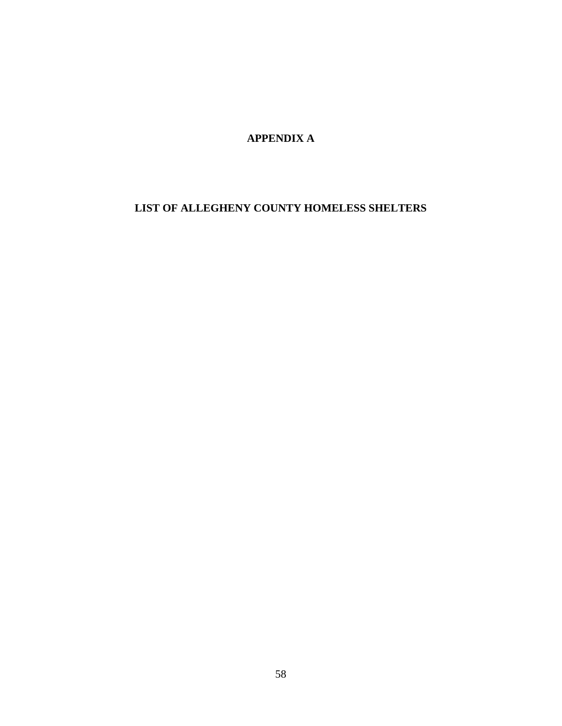**APPENDIX A**

# **LIST OF ALLEGHENY COUNTY HOMELESS SHELTERS**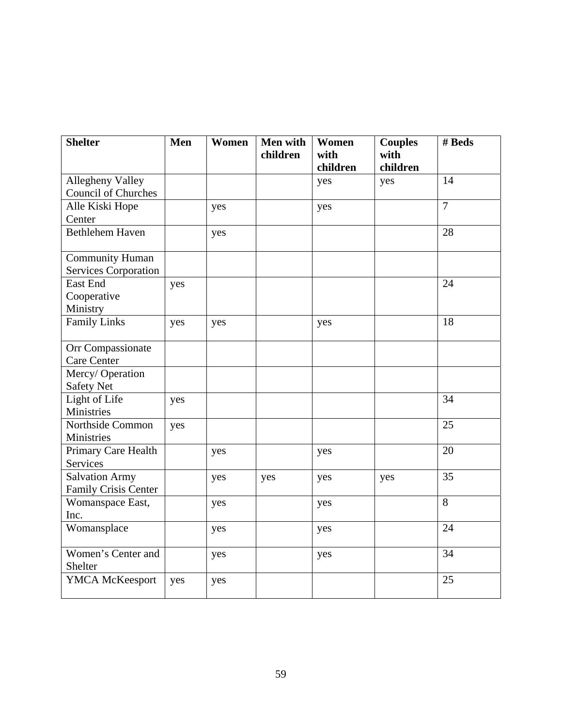| <b>Shelter</b>                                        | Men | Women | <b>Men with</b><br>children | Women<br>with<br>children | <b>Couples</b><br>with<br>children | # Beds         |
|-------------------------------------------------------|-----|-------|-----------------------------|---------------------------|------------------------------------|----------------|
| <b>Allegheny Valley</b><br><b>Council of Churches</b> |     |       |                             | yes                       | yes                                | 14             |
| Alle Kiski Hope<br>Center                             |     | yes   |                             | yes                       |                                    | $\overline{7}$ |
| <b>Bethlehem Haven</b>                                |     | yes   |                             |                           |                                    | 28             |
| <b>Community Human</b><br><b>Services Corporation</b> |     |       |                             |                           |                                    |                |
| East End<br>Cooperative<br>Ministry                   | yes |       |                             |                           |                                    | 24             |
| <b>Family Links</b>                                   | yes | yes   |                             | yes                       |                                    | 18             |
| Orr Compassionate<br><b>Care Center</b>               |     |       |                             |                           |                                    |                |
| Mercy/Operation<br><b>Safety Net</b>                  |     |       |                             |                           |                                    |                |
| Light of Life<br><b>Ministries</b>                    | yes |       |                             |                           |                                    | 34             |
| Northside Common<br>Ministries                        | yes |       |                             |                           |                                    | 25             |
| Primary Care Health<br>Services                       |     | yes   |                             | yes                       |                                    | 20             |
| <b>Salvation Army</b><br>Family Crisis Center         |     | yes   | yes                         | yes                       | yes                                | 35             |
| Womanspace East,<br>Inc.                              |     | yes   |                             | yes                       |                                    | 8              |
| Womansplace                                           |     | yes   |                             | yes                       |                                    | 24             |
| Women's Center and<br>Shelter                         |     | yes   |                             | yes                       |                                    | 34             |
| YMCA McKeesport                                       | yes | yes   |                             |                           |                                    | 25             |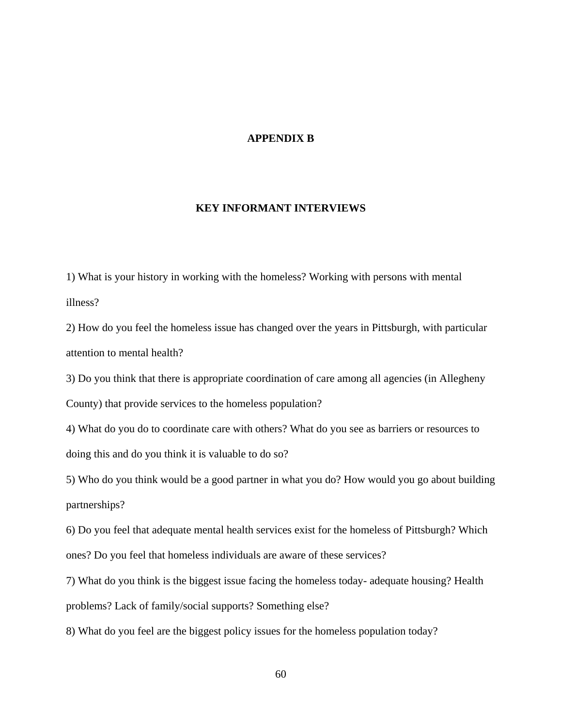# **APPENDIX B**

# **KEY INFORMANT INTERVIEWS**

1) What is your history in working with the homeless? Working with persons with mental illness?

2) How do you feel the homeless issue has changed over the years in Pittsburgh, with particular attention to mental health?

3) Do you think that there is appropriate coordination of care among all agencies (in Allegheny County) that provide services to the homeless population?

4) What do you do to coordinate care with others? What do you see as barriers or resources to doing this and do you think it is valuable to do so?

5) Who do you think would be a good partner in what you do? How would you go about building partnerships?

6) Do you feel that adequate mental health services exist for the homeless of Pittsburgh? Which ones? Do you feel that homeless individuals are aware of these services?

7) What do you think is the biggest issue facing the homeless today- adequate housing? Health problems? Lack of family/social supports? Something else?

8) What do you feel are the biggest policy issues for the homeless population today?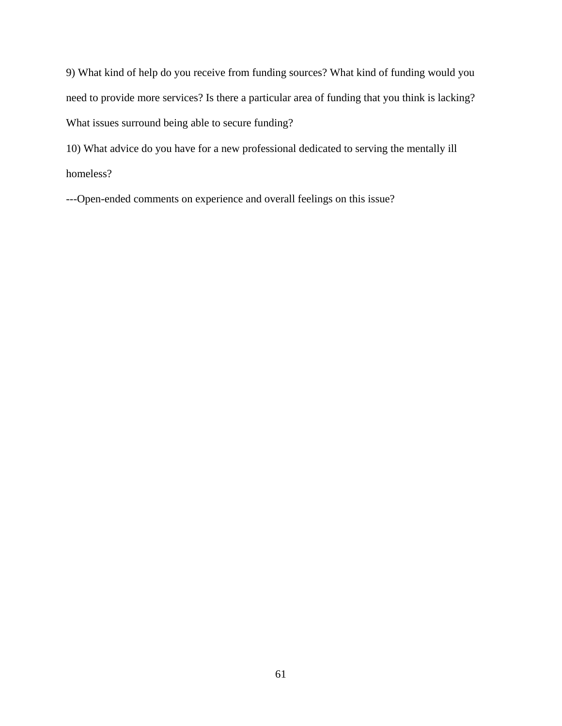9) What kind of help do you receive from funding sources? What kind of funding would you need to provide more services? Is there a particular area of funding that you think is lacking? What issues surround being able to secure funding?

10) What advice do you have for a new professional dedicated to serving the mentally ill homeless?

---Open-ended comments on experience and overall feelings on this issue?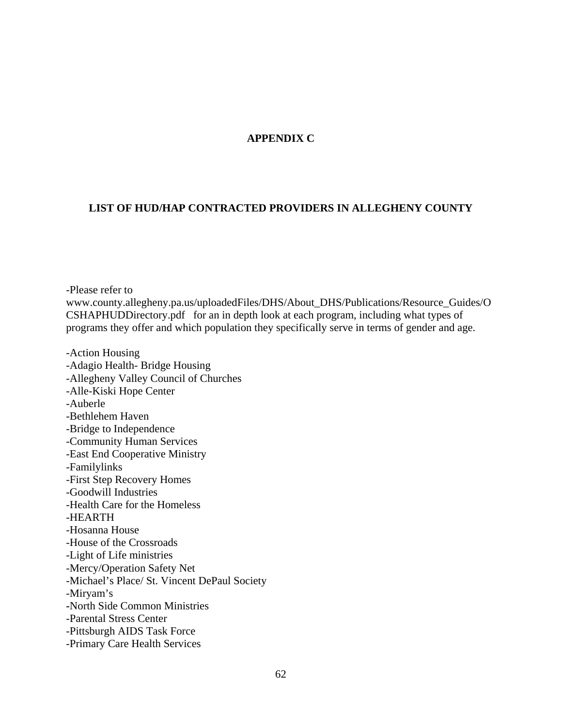# **APPENDIX C**

# **LIST OF HUD/HAP CONTRACTED PROVIDERS IN ALLEGHENY COUNTY**

-Please refer to www.county.allegheny.pa.us/uploadedFiles/DHS/About\_DHS/Publications/Resource\_Guides/O CSHAPHUDDirectory.pdf for an in depth look at each program, including what types of programs they offer and which population they specifically serve in terms of gender and age.

-Action Housing -Adagio Health- Bridge Housing -Allegheny Valley Council of Churches -Alle-Kiski Hope Center -Auberle -Bethlehem Haven -Bridge to Independence -Community Human Services -East End Cooperative Ministry -Familylinks -First Step Recovery Homes -Goodwill Industries -Health Care for the Homeless -HEARTH -Hosanna House -House of the Crossroads -Light of Life ministries -Mercy/Operation Safety Net -Michael's Place/ St. Vincent DePaul Society -Miryam's **-**North Side Common Ministries -Parental Stress Center -Pittsburgh AIDS Task Force -Primary Care Health Services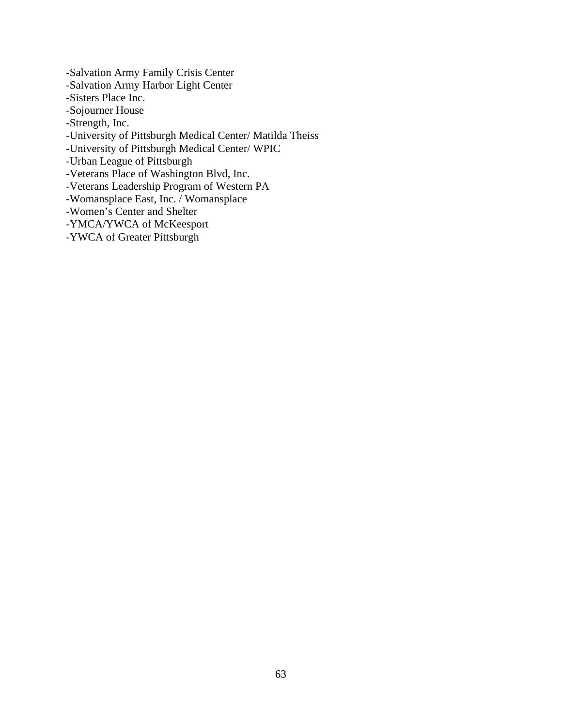-Salvation Army Family Crisis Center -Salvation Army Harbor Light Center -Sisters Place Inc. -Sojourner House -Strength, Inc. -University of Pittsburgh Medical Center/ Matilda Theiss **-**University of Pittsburgh Medical Center/ WPIC -Urban League of Pittsburgh -Veterans Place of Washington Blvd, Inc. -Veterans Leadership Program of Western PA -Womansplace East, Inc. / Womansplace -Women's Center and Shelter -YMCA/YWCA of McKeesport

-YWCA of Greater Pittsburgh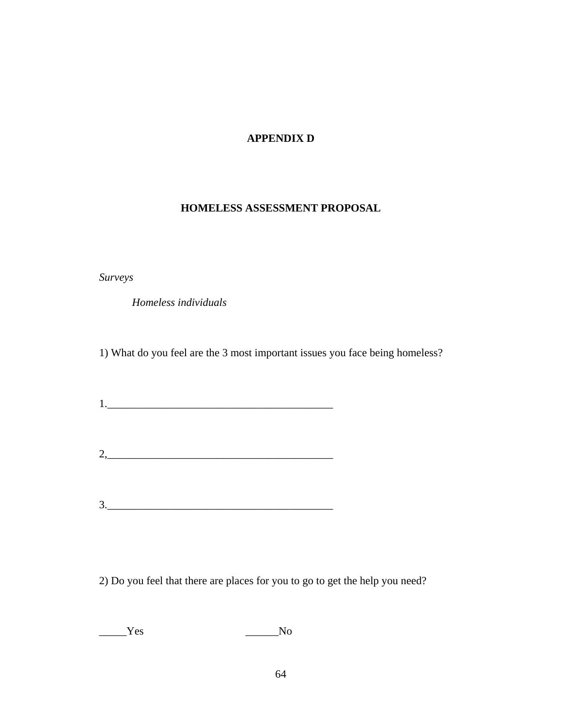# **APPENDIX D**

## **HOMELESS ASSESSMENT PROPOSAL**

*Surveys* 

 *Homeless individuals*

1) What do you feel are the 3 most important issues you face being homeless?

 $1.$ 

 $2,$ 

3.\_\_\_\_\_\_\_\_\_\_\_\_\_\_\_\_\_\_\_\_\_\_\_\_\_\_\_\_\_\_\_\_\_\_\_\_\_\_\_\_\_

2) Do you feel that there are places for you to go to get the help you need?

\_\_\_\_\_Yes \_\_\_\_\_\_No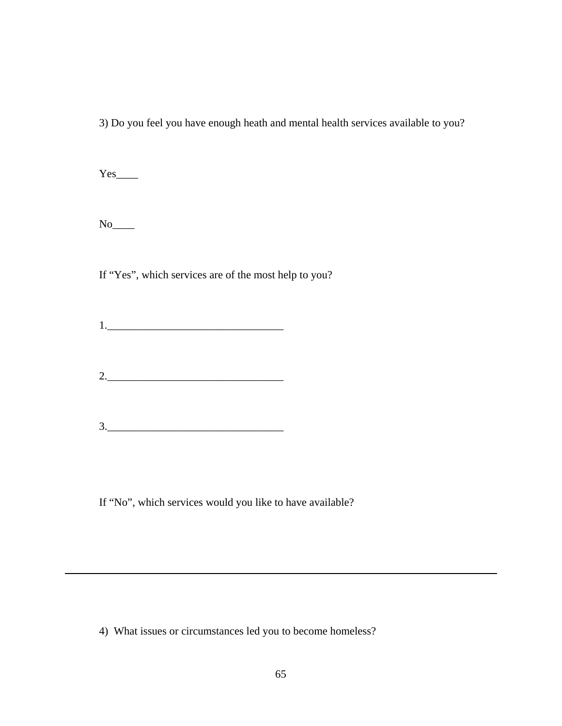3) Do you feel you have enough heath and mental health services available to you?

Yes\_\_\_\_

 $\,$  No $\_$ 

If "Yes", which services are of the most help to you?

1.\_\_\_\_\_\_\_\_\_\_\_\_\_\_\_\_\_\_\_\_\_\_\_\_\_\_\_\_\_\_\_\_

2.\_\_\_\_\_\_\_\_\_\_\_\_\_\_\_\_\_\_\_\_\_\_\_\_\_\_\_\_\_\_\_\_

3.\_\_\_\_\_\_\_\_\_\_\_\_\_\_\_\_\_\_\_\_\_\_\_\_\_\_\_\_\_\_\_\_

If "No", which services would you like to have available?

4) What issues or circumstances led you to become homeless?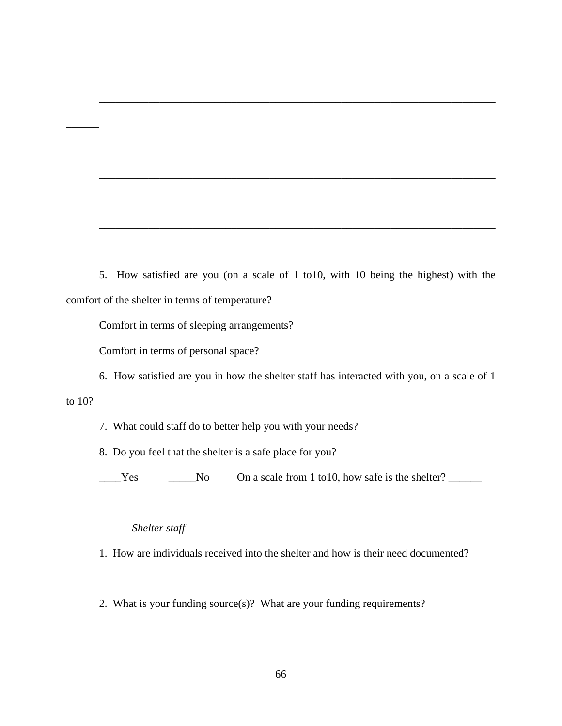5. How satisfied are you (on a scale of 1 to10, with 10 being the highest) with the comfort of the shelter in terms of temperature?

\_\_\_\_\_\_\_\_\_\_\_\_\_\_\_\_\_\_\_\_\_\_\_\_\_\_\_\_\_\_\_\_\_\_\_\_\_\_\_\_\_\_\_\_\_\_\_\_\_\_\_\_\_\_\_\_\_\_\_\_\_\_\_\_\_\_\_\_\_\_\_\_

\_\_\_\_\_\_\_\_\_\_\_\_\_\_\_\_\_\_\_\_\_\_\_\_\_\_\_\_\_\_\_\_\_\_\_\_\_\_\_\_\_\_\_\_\_\_\_\_\_\_\_\_\_\_\_\_\_\_\_\_\_\_\_\_\_\_\_\_\_\_\_\_

\_\_\_\_\_\_\_\_\_\_\_\_\_\_\_\_\_\_\_\_\_\_\_\_\_\_\_\_\_\_\_\_\_\_\_\_\_\_\_\_\_\_\_\_\_\_\_\_\_\_\_\_\_\_\_\_\_\_\_\_\_\_\_\_\_\_\_\_\_\_\_\_

Comfort in terms of sleeping arrangements?

Comfort in terms of personal space?

6. How satisfied are you in how the shelter staff has interacted with you, on a scale of 1

to 10?

 $\overline{\phantom{a}}$ 

7. What could staff do to better help you with your needs?

8. Do you feel that the shelter is a safe place for you?

Let U a Scale from 1 to 10, how safe is the shelter?

#### *Shelter staff*

1. How are individuals received into the shelter and how is their need documented?

2. What is your funding source(s)? What are your funding requirements?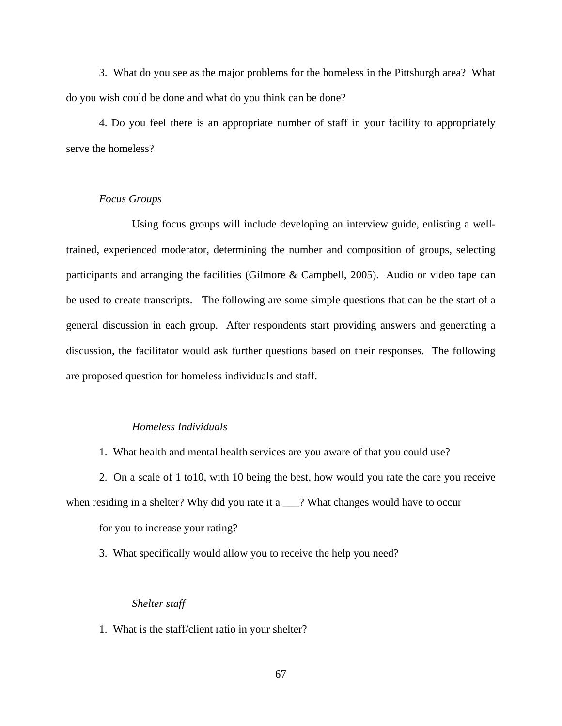3. What do you see as the major problems for the homeless in the Pittsburgh area? What do you wish could be done and what do you think can be done?

4. Do you feel there is an appropriate number of staff in your facility to appropriately serve the homeless?

### *Focus Groups*

Using focus groups will include developing an interview guide, enlisting a welltrained, experienced moderator, determining the number and composition of groups, selecting participants and arranging the facilities (Gilmore & Campbell, 2005). Audio or video tape can be used to create transcripts. The following are some simple questions that can be the start of a general discussion in each group. After respondents start providing answers and generating a discussion, the facilitator would ask further questions based on their responses. The following are proposed question for homeless individuals and staff.

#### *Homeless Individuals*

1. What health and mental health services are you aware of that you could use?

2. On a scale of 1 to10, with 10 being the best, how would you rate the care you receive when residing in a shelter? Why did you rate it a \_\_\_? What changes would have to occur for you to increase your rating?

3. What specifically would allow you to receive the help you need?

#### *Shelter staff*

1. What is the staff/client ratio in your shelter?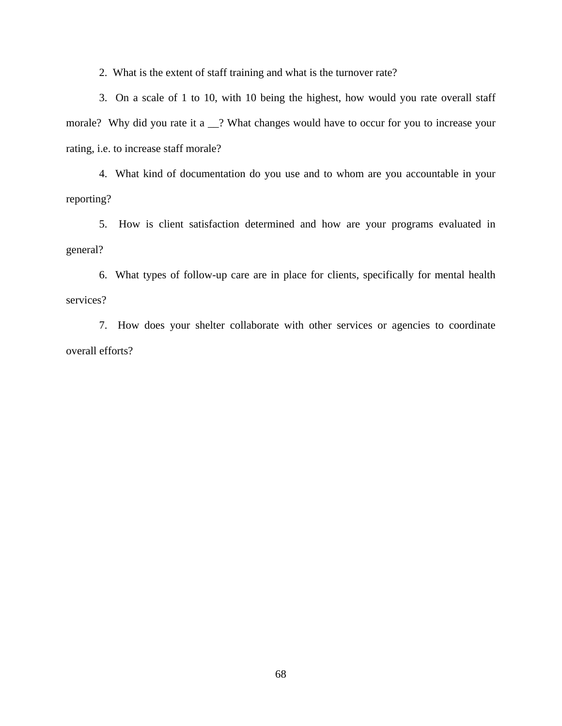2. What is the extent of staff training and what is the turnover rate?

3. On a scale of 1 to 10, with 10 being the highest, how would you rate overall staff morale? Why did you rate it a \_\_? What changes would have to occur for you to increase your rating, i.e. to increase staff morale?

4. What kind of documentation do you use and to whom are you accountable in your reporting?

5. How is client satisfaction determined and how are your programs evaluated in general?

6. What types of follow-up care are in place for clients, specifically for mental health services?

7. How does your shelter collaborate with other services or agencies to coordinate overall efforts?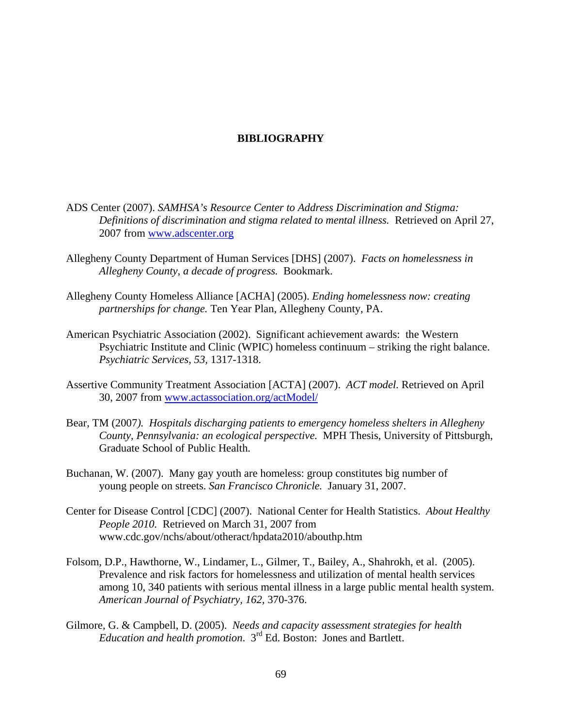### **BIBLIOGRAPHY**

- ADS Center (2007). *SAMHSA's Resource Center to Address Discrimination and Stigma: Definitions of discrimination and stigma related to mental illness.* Retrieved on April 27, 2007 from [www.adscenter.org](http://www.adscenter.org/)
- Allegheny County Department of Human Services [DHS] (2007). *Facts on homelessness in Allegheny County, a decade of progress.* Bookmark.
- Allegheny County Homeless Alliance [ACHA] (2005). *Ending homelessness now: creating partnerships for change.* Ten Year Plan, Allegheny County, PA.
- American Psychiatric Association (2002). Significant achievement awards: the Western Psychiatric Institute and Clinic (WPIC) homeless continuum – striking the right balance. *Psychiatric Services, 53,* 1317-1318.
- Assertive Community Treatment Association [ACTA] (2007). *ACT model.* Retrieved on April 30, 2007 from [www.actassociation.org/actModel/](http://www.actassociation.org/actModel/)
- Bear, TM (2007*). Hospitals discharging patients to emergency homeless shelters in Allegheny County, Pennsylvania: an ecological perspective.* MPH Thesis, University of Pittsburgh, Graduate School of Public Health.
- Buchanan, W. (2007). Many gay youth are homeless: group constitutes big number of young people on streets. *San Francisco Chronicle.* January 31, 2007.
- Center for Disease Control [CDC] (2007). National Center for Health Statistics. *About Healthy People 2010.* Retrieved on March 31, 2007 from www.cdc.gov/nchs/about/otheract/hpdata2010/abouthp.htm
- Folsom, D.P., Hawthorne, W., Lindamer, L., Gilmer, T., Bailey, A., Shahrokh, et al. (2005). Prevalence and risk factors for homelessness and utilization of mental health services among 10, 340 patients with serious mental illness in a large public mental health system. *American Journal of Psychiatry, 162,* 370-376.
- Gilmore, G. & Campbell, D. (2005). *Needs and capacity assessment strategies for health Education and health promotion*. 3rd Ed. Boston: Jones and Bartlett.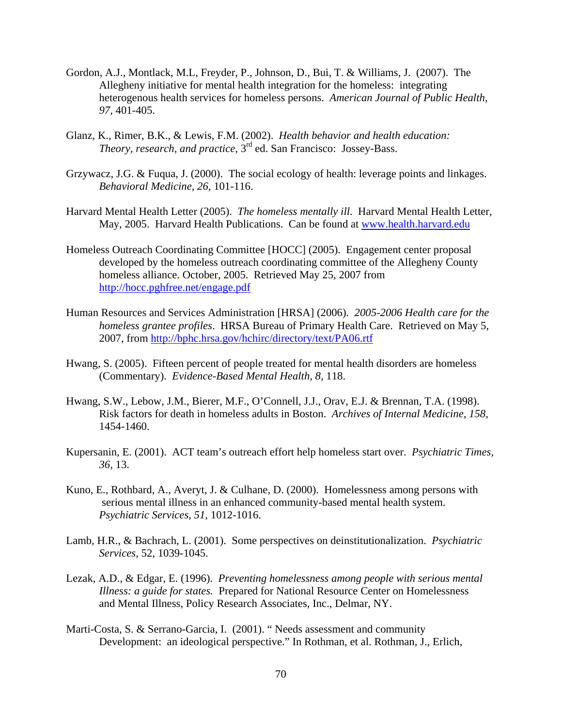- Gordon, A.J., Montlack, M.L, Freyder, P., Johnson, D., Bui, T. & Williams, J. (2007). The Allegheny initiative for mental health integration for the homeless: integrating heterogenous health services for homeless persons. *American Journal of Public Health, 97,* 401-405.
- Glanz, K., Rimer, B.K., & Lewis, F.M. (2002). *Health behavior and health education: Theory, research, and practice,*  $3<sup>rd</sup>$  ed. San Francisco: Jossey-Bass.
- Grzywacz, J.G. & Fuqua, J. (2000). The social ecology of health: leverage points and linkages. *Behavioral Medicine, 26,* 101-116.
- Harvard Mental Health Letter (2005). *The homeless mentally ill*. Harvard Mental Health Letter, May, 2005. Harvard Health Publications. Can be found at [www.health.harvard.edu](http://www.health.harvard.edu/)
- Homeless Outreach Coordinating Committee [HOCC] (2005). Engagement center proposal developed by the homeless outreach coordinating committee of the Allegheny County homeless alliance. October, 2005. Retrieved May 25, 2007 from <http://hocc.pghfree.net/engage.pdf>
- Human Resources and Services Administration [HRSA] (2006). *2005-2006 Health care for the homeless grantee profiles*. HRSA Bureau of Primary Health Care. Retrieved on May 5, 2007, from<http://bphc.hrsa.gov/hchirc/directory/text/PA06.rtf>
- Hwang, S. (2005). Fifteen percent of people treated for mental health disorders are homeless (Commentary). *Evidence-Based Mental Health, 8,* 118.
- Hwang, S.W., Lebow, J.M., Bierer, M.F., O'Connell, J.J., Orav, E.J. & Brennan, T.A. (1998). Risk factors for death in homeless adults in Boston. *Archives of Internal Medicine, 158,*  1454-1460.
- Kupersanin, E. (2001). ACT team's outreach effort help homeless start over. *Psychiatric Times, 36,* 13.
- Kuno, E., Rothbard, A., Averyt, J. & Culhane, D. (2000). Homelessness among persons with serious mental illness in an enhanced community-based mental health system.  *Psychiatric Services, 51,* 1012-1016.
- Lamb, H.R., & Bachrach, L. (2001). Some perspectives on deinstitutionalization. *Psychiatric Services,* 52, 1039-1045.
- Lezak, A.D., & Edgar, E. (1996). *Preventing homelessness among people with serious mental Illness: a guide for states.* Prepared for National Resource Center on Homelessness and Mental Illness, Policy Research Associates, Inc., Delmar, NY.
- Marti-Costa, S. & Serrano-Garcia, I. (2001). " Needs assessment and community Development: an ideological perspective." In Rothman, et al. Rothman, J., Erlich,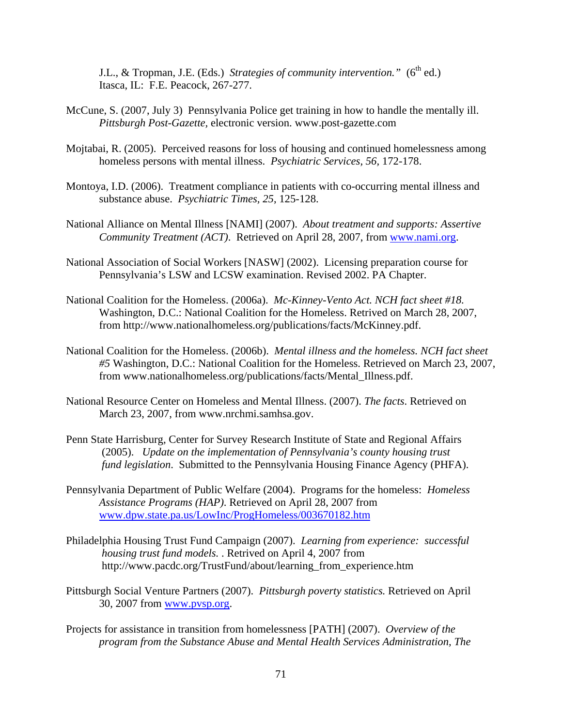J.L., & Tropman, J.E. (Eds.) Strategies of community intervention." (6<sup>th</sup> ed.) Itasca, IL: F.E. Peacock, 267-277.

- McCune, S. (2007, July 3) Pennsylvania Police get training in how to handle the mentally ill. *Pittsburgh Post-Gazette,* electronic version. www.post-gazette.com
- Mojtabai, R. (2005). Perceived reasons for loss of housing and continued homelessness among homeless persons with mental illness. *Psychiatric Services, 56,* 172-178.
- Montoya, I.D. (2006). Treatment compliance in patients with co-occurring mental illness and substance abuse. *Psychiatric Times, 25*, 125-128.
- National Alliance on Mental Illness [NAMI] (2007). *About treatment and supports: Assertive Community Treatment (ACT)*. Retrieved on April 28, 2007, from [www.nami.org.](http://www.nami.org/)
- National Association of Social Workers [NASW] (2002). Licensing preparation course for Pennsylvania's LSW and LCSW examination. Revised 2002. PA Chapter.
- National Coalition for the Homeless. (2006a). *Mc-Kinney-Vento Act. NCH fact sheet #18.*  Washington, D.C.: National Coalition for the Homeless. Retrived on March 28, 2007, from http://www.nationalhomeless.org/publications/facts/McKinney.pdf.
- National Coalition for the Homeless. (2006b). *Mental illness and the homeless. NCH fact sheet #5* Washington, D.C.: National Coalition for the Homeless. Retrieved on March 23, 2007, from www.nationalhomeless.org/publications/facts/Mental\_Illness.pdf.
- National Resource Center on Homeless and Mental Illness. (2007). *The facts*. Retrieved on March 23, 2007, from www.nrchmi.samhsa.gov.
- Penn State Harrisburg, Center for Survey Research Institute of State and Regional Affairs (2005). *Update on the implementation of Pennsylvania's county housing trust fund legislation*. Submitted to the Pennsylvania Housing Finance Agency (PHFA).
- Pennsylvania Department of Public Welfare (2004). Programs for the homeless: *Homeless Assistance Programs (HAP)*. Retrieved on April 28, 2007 from [www.dpw.state.pa.us/LowInc/ProgHomeless/003670182.htm](http://www.dpw.state.pa.us/LowInc/ProgHomeless/003670182.htm)
- Philadelphia Housing Trust Fund Campaign (2007). *Learning from experience: successful housing trust fund models.* . Retrived on April 4, 2007 from http://www.pacdc.org/TrustFund/about/learning\_from\_experience.htm
- Pittsburgh Social Venture Partners (2007). *Pittsburgh poverty statistics.* Retrieved on April 30, 2007 from [www.pvsp.org](http://www.pvsp.org/).
- Projects for assistance in transition from homelessness [PATH] (2007). *Overview of the program from the Substance Abuse and Mental Health Services Administration, The*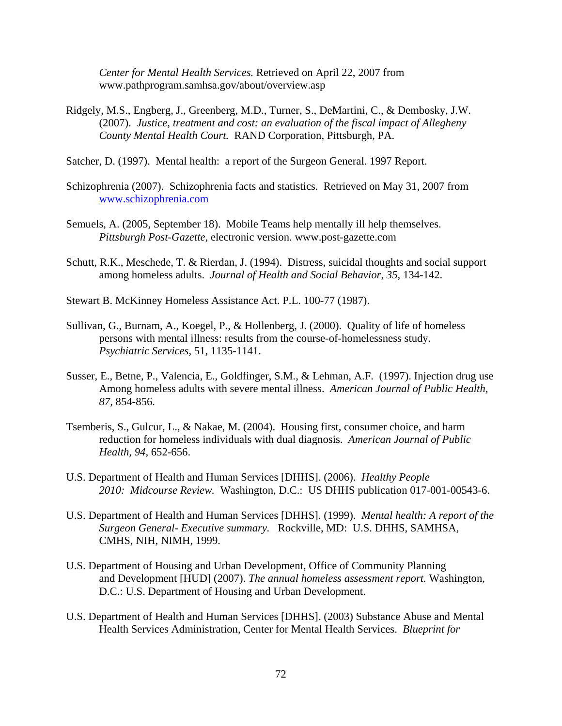*Center for Mental Health Services.* Retrieved on April 22, 2007 from www.pathprogram.samhsa.gov/about/overview.asp

- Ridgely, M.S., Engberg, J., Greenberg, M.D., Turner, S., DeMartini, C., & Dembosky, J.W. (2007). *Justice, treatment and cost: an evaluation of the fiscal impact of Allegheny County Mental Health Court.* RAND Corporation, Pittsburgh, PA.
- Satcher, D. (1997). Mental health: a report of the Surgeon General. 1997 Report.
- Schizophrenia (2007). Schizophrenia facts and statistics. Retrieved on May 31, 2007 from [www.schizophrenia.com](http://www.schizophrenia.com/)
- Semuels, A. (2005, September 18). Mobile Teams help mentally ill help themselves. *Pittsburgh Post-Gazette,* electronic version. www.post-gazette.com
- Schutt, R.K., Meschede, T. & Rierdan, J. (1994). Distress, suicidal thoughts and social support among homeless adults. *Journal of Health and Social Behavior, 35,* 134-142.
- Stewart B. McKinney Homeless Assistance Act. P.L. 100-77 (1987).
- Sullivan, G., Burnam, A., Koegel, P., & Hollenberg, J. (2000). Quality of life of homeless persons with mental illness: results from the course-of-homelessness study. *Psychiatric Services,* 51, 1135-1141.
- Susser, E., Betne, P., Valencia, E., Goldfinger, S.M., & Lehman, A.F. (1997). Injection drug use Among homeless adults with severe mental illness. *American Journal of Public Health, 87,* 854-856.
- Tsemberis, S., Gulcur, L., & Nakae, M. (2004). Housing first, consumer choice, and harm reduction for homeless individuals with dual diagnosis. *American Journal of Public Health, 94,* 652-656.
- U.S. Department of Health and Human Services [DHHS]. (2006). *Healthy People 2010: Midcourse Review.* Washington, D.C.: US DHHS publication 017-001-00543-6.
- U.S. Department of Health and Human Services [DHHS]. (1999). *Mental health: A report of the Surgeon General- Executive summary.* Rockville, MD: U.S. DHHS, SAMHSA, CMHS, NIH, NIMH, 1999.
- U.S. Department of Housing and Urban Development, Office of Community Planning and Development [HUD] (2007). *The annual homeless assessment report.* Washington, D.C.: U.S. Department of Housing and Urban Development.
- U.S. Department of Health and Human Services [DHHS]. (2003) Substance Abuse and Mental Health Services Administration, Center for Mental Health Services. *Blueprint for*